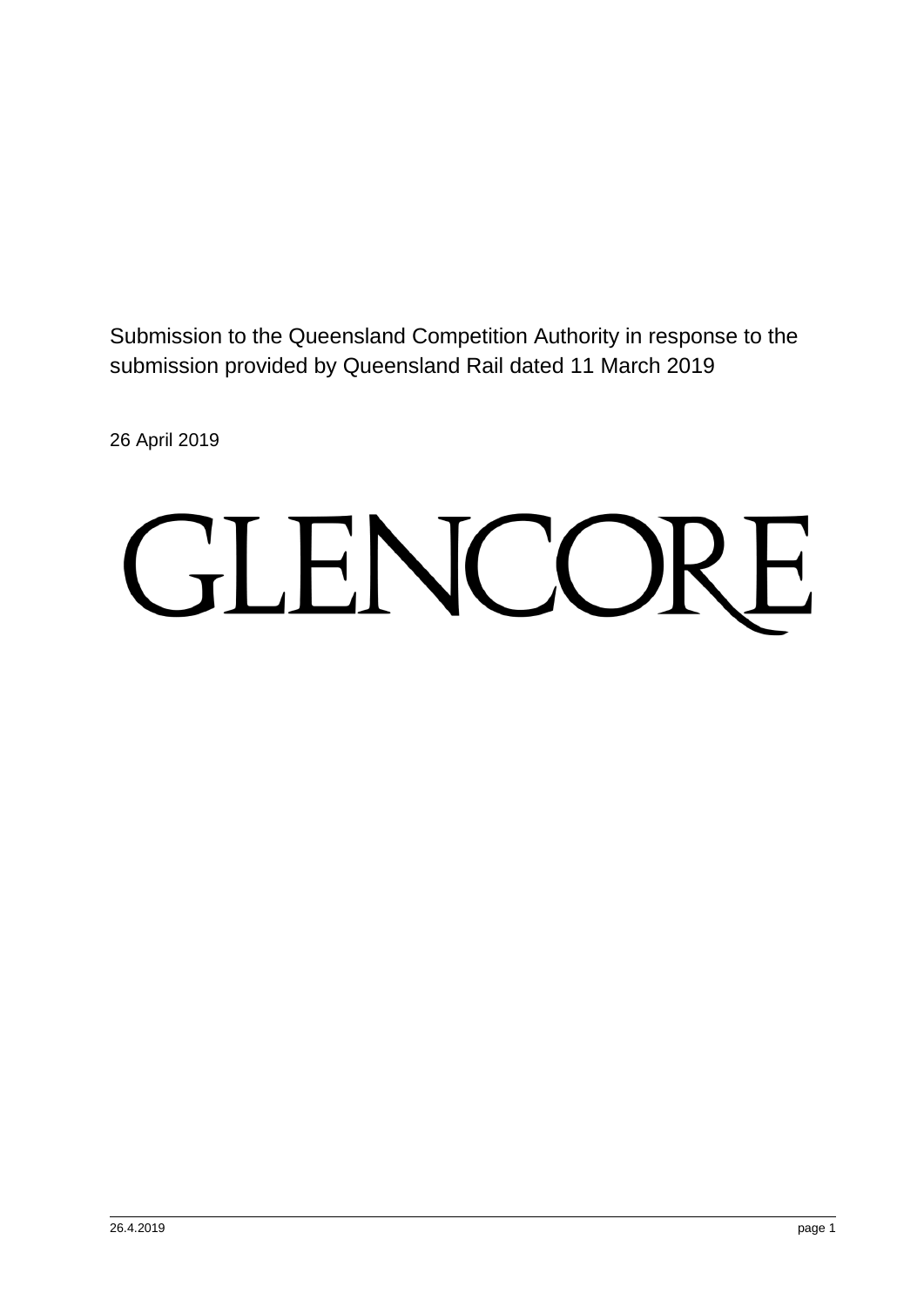Submission to the Queensland Competition Authority in response to the submission provided by Queensland Rail dated 11 March 2019

26 April 2019

# GLENCORE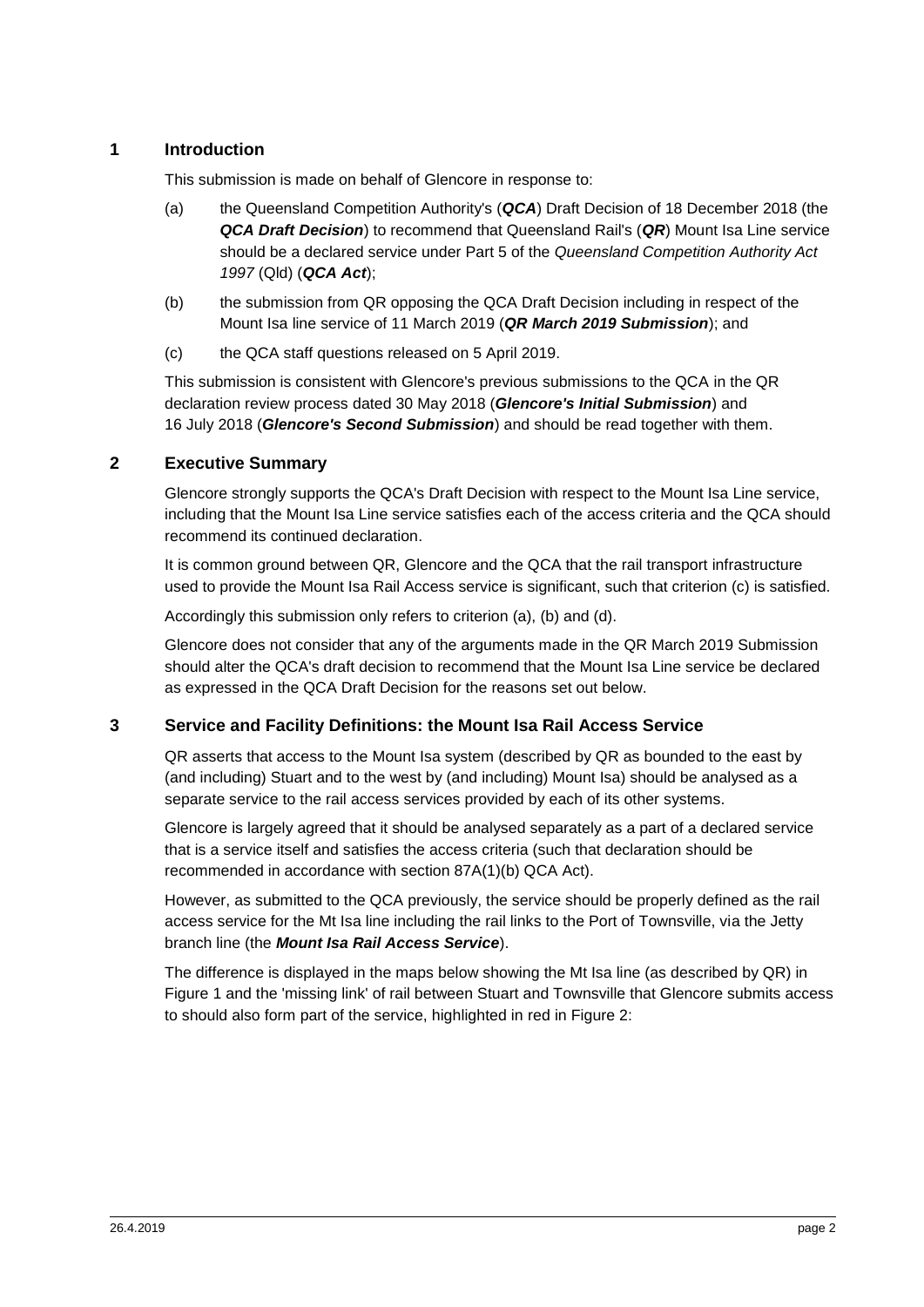#### **1 Introduction**

This submission is made on behalf of Glencore in response to:

- (a) the Queensland Competition Authority's (*QCA*) Draft Decision of 18 December 2018 (the *QCA Draft Decision*) to recommend that Queensland Rail's (*QR*) Mount Isa Line service should be a declared service under Part 5 of the *Queensland Competition Authority Act 1997* (Qld) (*QCA Act*);
- (b) the submission from QR opposing the QCA Draft Decision including in respect of the Mount Isa line service of 11 March 2019 (*QR March 2019 Submission*); and
- (c) the QCA staff questions released on 5 April 2019.

This submission is consistent with Glencore's previous submissions to the QCA in the QR declaration review process dated 30 May 2018 (*Glencore's Initial Submission*) and 16 July 2018 (*Glencore's Second Submission*) and should be read together with them.

#### **2 Executive Summary**

Glencore strongly supports the QCA's Draft Decision with respect to the Mount Isa Line service, including that the Mount Isa Line service satisfies each of the access criteria and the QCA should recommend its continued declaration.

It is common ground between QR, Glencore and the QCA that the rail transport infrastructure used to provide the Mount Isa Rail Access service is significant, such that criterion (c) is satisfied.

Accordingly this submission only refers to criterion (a), (b) and (d).

Glencore does not consider that any of the arguments made in the QR March 2019 Submission should alter the QCA's draft decision to recommend that the Mount Isa Line service be declared as expressed in the QCA Draft Decision for the reasons set out below.

#### <span id="page-1-0"></span>**3 Service and Facility Definitions: the Mount Isa Rail Access Service**

QR asserts that access to the Mount Isa system (described by QR as bounded to the east by (and including) Stuart and to the west by (and including) Mount Isa) should be analysed as a separate service to the rail access services provided by each of its other systems.

Glencore is largely agreed that it should be analysed separately as a part of a declared service that is a service itself and satisfies the access criteria (such that declaration should be recommended in accordance with section 87A(1)(b) QCA Act).

However, as submitted to the QCA previously, the service should be properly defined as the rail access service for the Mt Isa line including the rail links to the Port of Townsville, via the Jetty branch line (the *Mount Isa Rail Access Service*).

The difference is displayed in the maps below showing the Mt Isa line (as described by QR) in Figure 1 and the 'missing link' of rail between Stuart and Townsville that Glencore submits access to should also form part of the service, highlighted in red in Figure 2: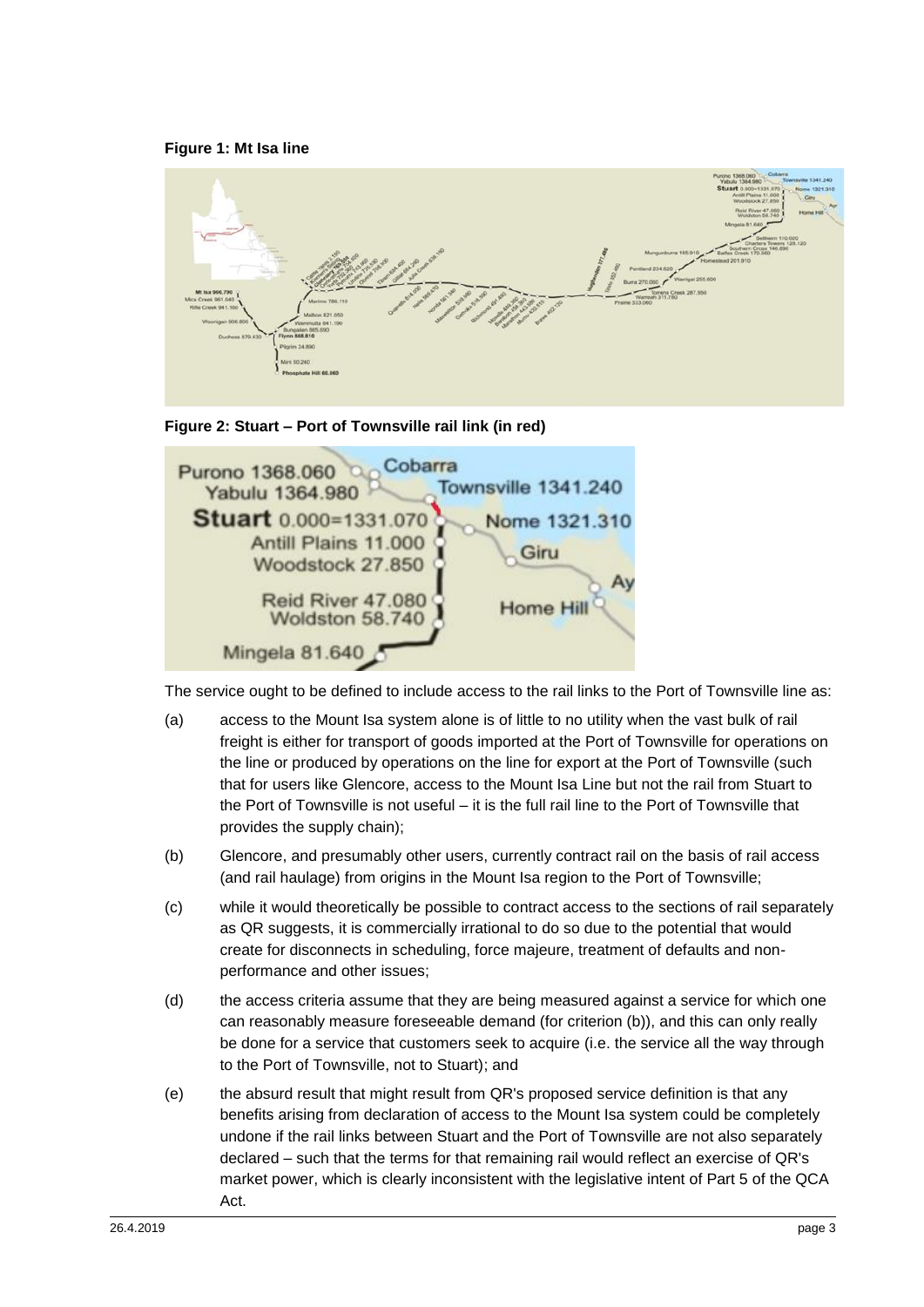#### **Figure 1: Mt Isa line**







The service ought to be defined to include access to the rail links to the Port of Townsville line as:

- (a) access to the Mount Isa system alone is of little to no utility when the vast bulk of rail freight is either for transport of goods imported at the Port of Townsville for operations on the line or produced by operations on the line for export at the Port of Townsville (such that for users like Glencore, access to the Mount Isa Line but not the rail from Stuart to the Port of Townsville is not useful – it is the full rail line to the Port of Townsville that provides the supply chain);
- (b) Glencore, and presumably other users, currently contract rail on the basis of rail access (and rail haulage) from origins in the Mount Isa region to the Port of Townsville;
- (c) while it would theoretically be possible to contract access to the sections of rail separately as QR suggests, it is commercially irrational to do so due to the potential that would create for disconnects in scheduling, force majeure, treatment of defaults and nonperformance and other issues;
- (d) the access criteria assume that they are being measured against a service for which one can reasonably measure foreseeable demand (for criterion (b)), and this can only really be done for a service that customers seek to acquire (i.e. the service all the way through to the Port of Townsville, not to Stuart); and
- (e) the absurd result that might result from QR's proposed service definition is that any benefits arising from declaration of access to the Mount Isa system could be completely undone if the rail links between Stuart and the Port of Townsville are not also separately declared – such that the terms for that remaining rail would reflect an exercise of QR's market power, which is clearly inconsistent with the legislative intent of Part 5 of the QCA Act.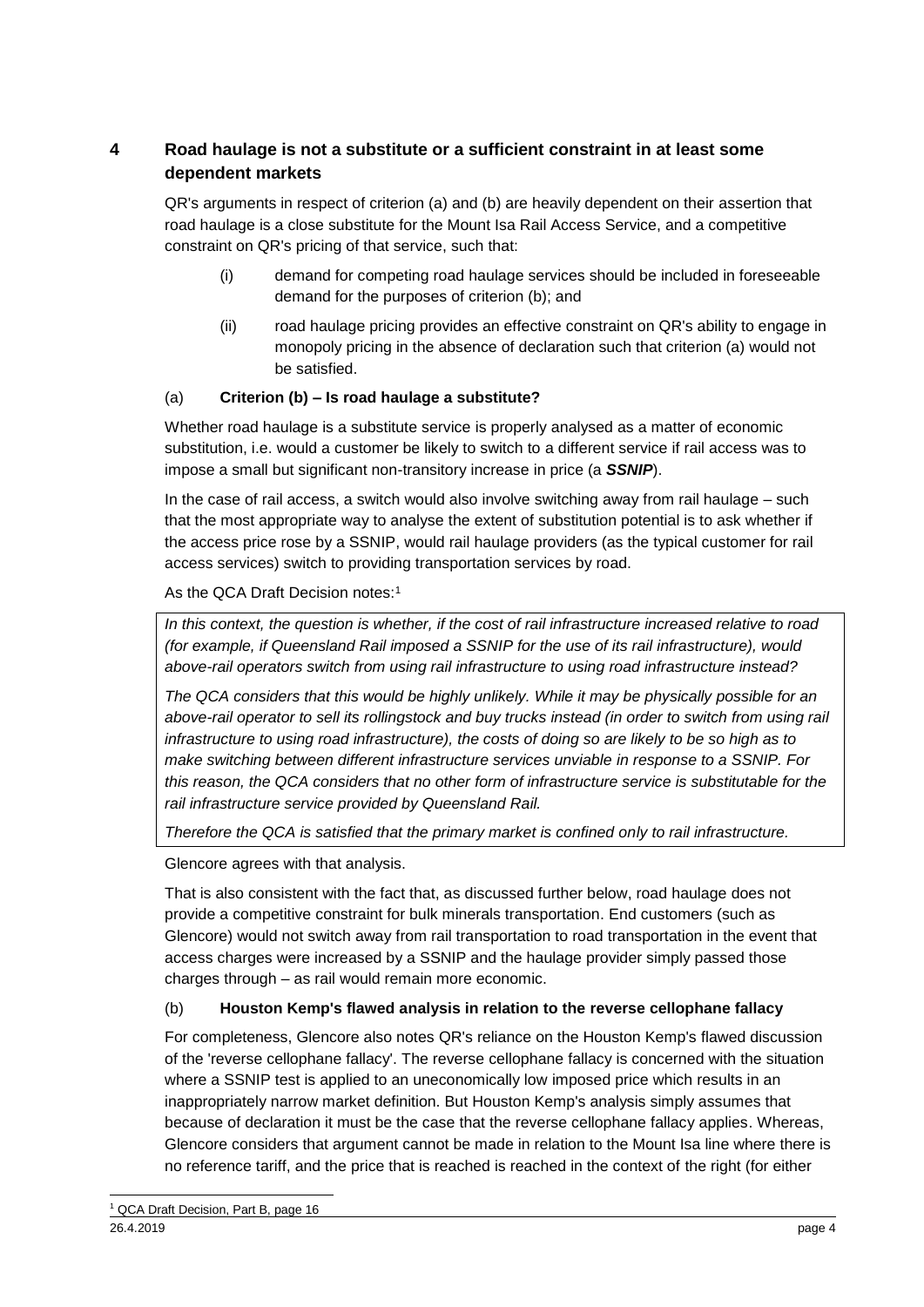#### <span id="page-3-0"></span>**4 Road haulage is not a substitute or a sufficient constraint in at least some dependent markets**

QR's arguments in respect of criterion (a) and (b) are heavily dependent on their assertion that road haulage is a close substitute for the Mount Isa Rail Access Service, and a competitive constraint on QR's pricing of that service, such that:

- (i) demand for competing road haulage services should be included in foreseeable demand for the purposes of criterion (b); and
- (ii) road haulage pricing provides an effective constraint on QR's ability to engage in monopoly pricing in the absence of declaration such that criterion (a) would not be satisfied.

#### (a) **Criterion (b) – Is road haulage a substitute?**

Whether road haulage is a substitute service is properly analysed as a matter of economic substitution, i.e. would a customer be likely to switch to a different service if rail access was to impose a small but significant non-transitory increase in price (a *SSNIP*).

In the case of rail access, a switch would also involve switching away from rail haulage – such that the most appropriate way to analyse the extent of substitution potential is to ask whether if the access price rose by a SSNIP, would rail haulage providers (as the typical customer for rail access services) switch to providing transportation services by road.

As the QCA Draft Decision notes:<sup>1</sup>

*In this context, the question is whether, if the cost of rail infrastructure increased relative to road (for example, if Queensland Rail imposed a SSNIP for the use of its rail infrastructure), would above-rail operators switch from using rail infrastructure to using road infrastructure instead?*

*The QCA considers that this would be highly unlikely. While it may be physically possible for an above-rail operator to sell its rollingstock and buy trucks instead (in order to switch from using rail infrastructure to using road infrastructure), the costs of doing so are likely to be so high as to make switching between different infrastructure services unviable in response to a SSNIP. For this reason, the QCA considers that no other form of infrastructure service is substitutable for the rail infrastructure service provided by Queensland Rail.*

*Therefore the QCA is satisfied that the primary market is confined only to rail infrastructure.*

Glencore agrees with that analysis.

That is also consistent with the fact that, as discussed further below, road haulage does not provide a competitive constraint for bulk minerals transportation. End customers (such as Glencore) would not switch away from rail transportation to road transportation in the event that access charges were increased by a SSNIP and the haulage provider simply passed those charges through – as rail would remain more economic.

#### (b) **Houston Kemp's flawed analysis in relation to the reverse cellophane fallacy**

For completeness, Glencore also notes QR's reliance on the Houston Kemp's flawed discussion of the 'reverse cellophane fallacy'. The reverse cellophane fallacy is concerned with the situation where a SSNIP test is applied to an uneconomically low imposed price which results in an inappropriately narrow market definition. But Houston Kemp's analysis simply assumes that because of declaration it must be the case that the reverse cellophane fallacy applies. Whereas, Glencore considers that argument cannot be made in relation to the Mount Isa line where there is no reference tariff, and the price that is reached is reached in the context of the right (for either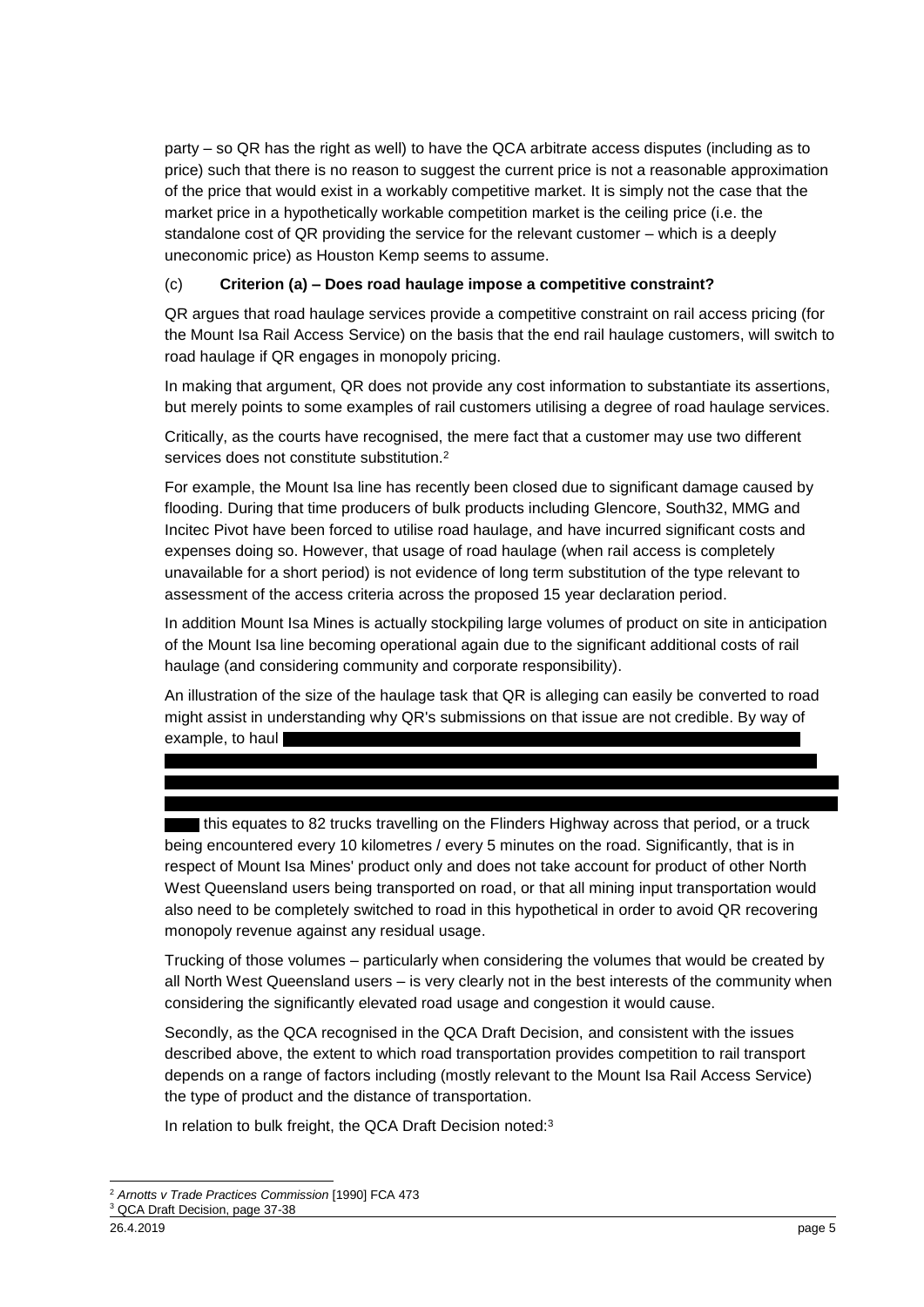party – so QR has the right as well) to have the QCA arbitrate access disputes (including as to price) such that there is no reason to suggest the current price is not a reasonable approximation of the price that would exist in a workably competitive market. It is simply not the case that the market price in a hypothetically workable competition market is the ceiling price (i.e. the standalone cost of QR providing the service for the relevant customer – which is a deeply uneconomic price) as Houston Kemp seems to assume.

#### (c) **Criterion (a) – Does road haulage impose a competitive constraint?**

QR argues that road haulage services provide a competitive constraint on rail access pricing (for the Mount Isa Rail Access Service) on the basis that the end rail haulage customers, will switch to road haulage if QR engages in monopoly pricing.

In making that argument, QR does not provide any cost information to substantiate its assertions, but merely points to some examples of rail customers utilising a degree of road haulage services.

Critically, as the courts have recognised, the mere fact that a customer may use two different services does not constitute substitution.<sup>2</sup>

For example, the Mount Isa line has recently been closed due to significant damage caused by flooding. During that time producers of bulk products including Glencore, South32, MMG and Incitec Pivot have been forced to utilise road haulage, and have incurred significant costs and expenses doing so. However, that usage of road haulage (when rail access is completely unavailable for a short period) is not evidence of long term substitution of the type relevant to assessment of the access criteria across the proposed 15 year declaration period.

In addition Mount Isa Mines is actually stockpiling large volumes of product on site in anticipation of the Mount Isa line becoming operational again due to the significant additional costs of rail haulage (and considering community and corporate responsibility).

An illustration of the size of the haulage task that QR is alleging can easily be converted to road might assist in understanding why QR's submissions on that issue are not credible. By way of example, to haul

this equates to 82 trucks travelling on the Flinders Highway across that period, or a truck being encountered every 10 kilometres / every 5 minutes on the road. Significantly, that is in respect of Mount Isa Mines' product only and does not take account for product of other North West Queensland users being transported on road, or that all mining input transportation would also need to be completely switched to road in this hypothetical in order to avoid QR recovering monopoly revenue against any residual usage.

Trucking of those volumes – particularly when considering the volumes that would be created by all North West Queensland users – is very clearly not in the best interests of the community when considering the significantly elevated road usage and congestion it would cause.

Secondly, as the QCA recognised in the QCA Draft Decision, and consistent with the issues described above, the extent to which road transportation provides competition to rail transport depends on a range of factors including (mostly relevant to the Mount Isa Rail Access Service) the type of product and the distance of transportation.

In relation to bulk freight, the QCA Draft Decision noted:<sup>3</sup>

<sup>-</sup><sup>2</sup> *Arnotts v Trade Practices Commission* [1990] FCA 473

<sup>3</sup> QCA Draft Decision, page 37-38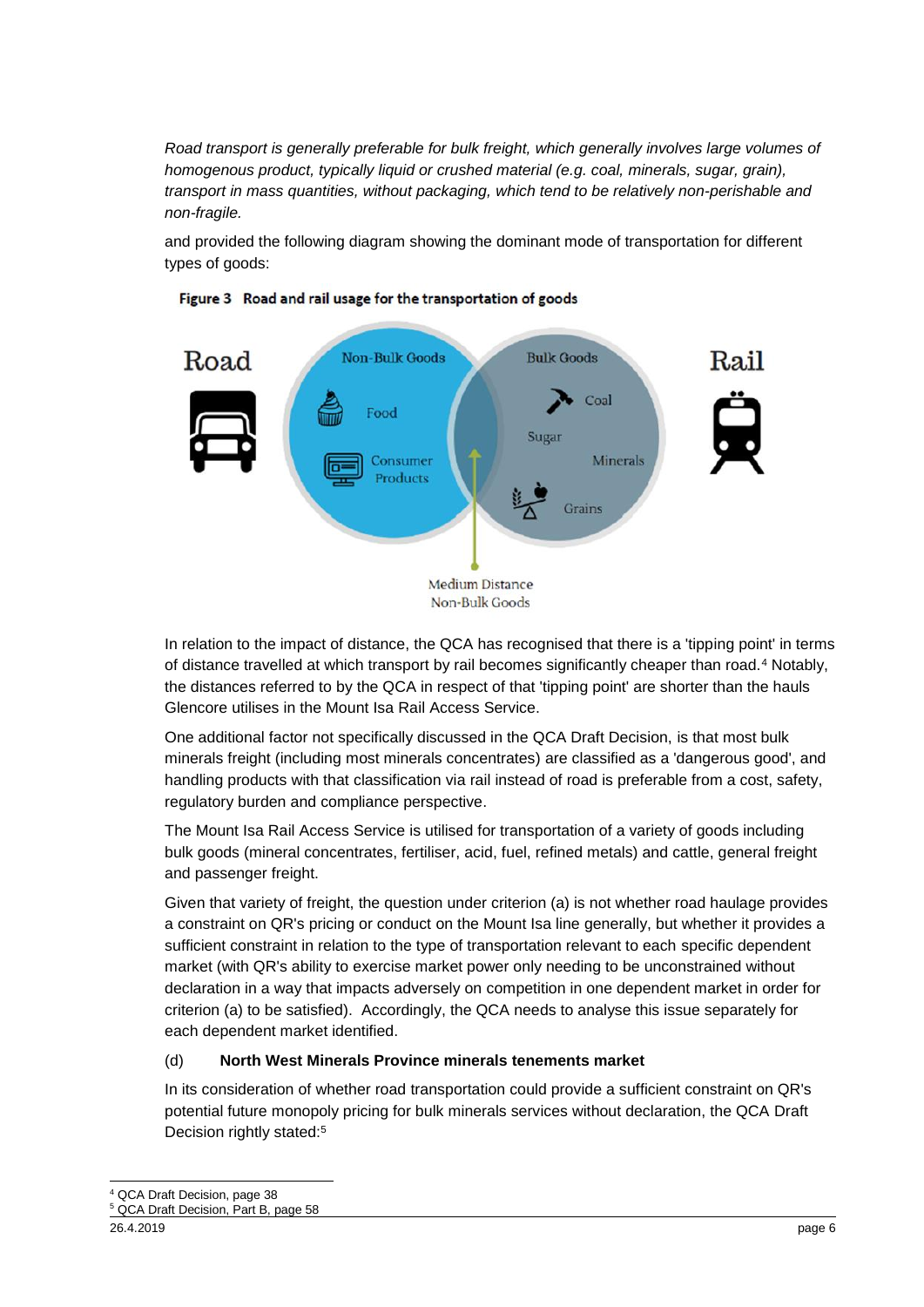*Road transport is generally preferable for bulk freight, which generally involves large volumes of homogenous product, typically liquid or crushed material (e.g. coal, minerals, sugar, grain), transport in mass quantities, without packaging, which tend to be relatively non-perishable and non-fragile.* 

and provided the following diagram showing the dominant mode of transportation for different types of goods:





In relation to the impact of distance, the QCA has recognised that there is a 'tipping point' in terms of distance travelled at which transport by rail becomes significantly cheaper than road.<sup>4</sup> Notably, the distances referred to by the QCA in respect of that 'tipping point' are shorter than the hauls Glencore utilises in the Mount Isa Rail Access Service.

One additional factor not specifically discussed in the QCA Draft Decision, is that most bulk minerals freight (including most minerals concentrates) are classified as a 'dangerous good', and handling products with that classification via rail instead of road is preferable from a cost, safety, regulatory burden and compliance perspective.

The Mount Isa Rail Access Service is utilised for transportation of a variety of goods including bulk goods (mineral concentrates, fertiliser, acid, fuel, refined metals) and cattle, general freight and passenger freight.

Given that variety of freight, the question under criterion (a) is not whether road haulage provides a constraint on QR's pricing or conduct on the Mount Isa line generally, but whether it provides a sufficient constraint in relation to the type of transportation relevant to each specific dependent market (with QR's ability to exercise market power only needing to be unconstrained without declaration in a way that impacts adversely on competition in one dependent market in order for criterion (a) to be satisfied). Accordingly, the QCA needs to analyse this issue separately for each dependent market identified.

#### (d) **North West Minerals Province minerals tenements market**

In its consideration of whether road transportation could provide a sufficient constraint on QR's potential future monopoly pricing for bulk minerals services without declaration, the QCA Draft Decision rightly stated:<sup>5</sup>

<sup>-</sup> $^{4}$  QCA Draft Decision, page 38

<sup>5</sup> QCA Draft Decision, Part B, page 58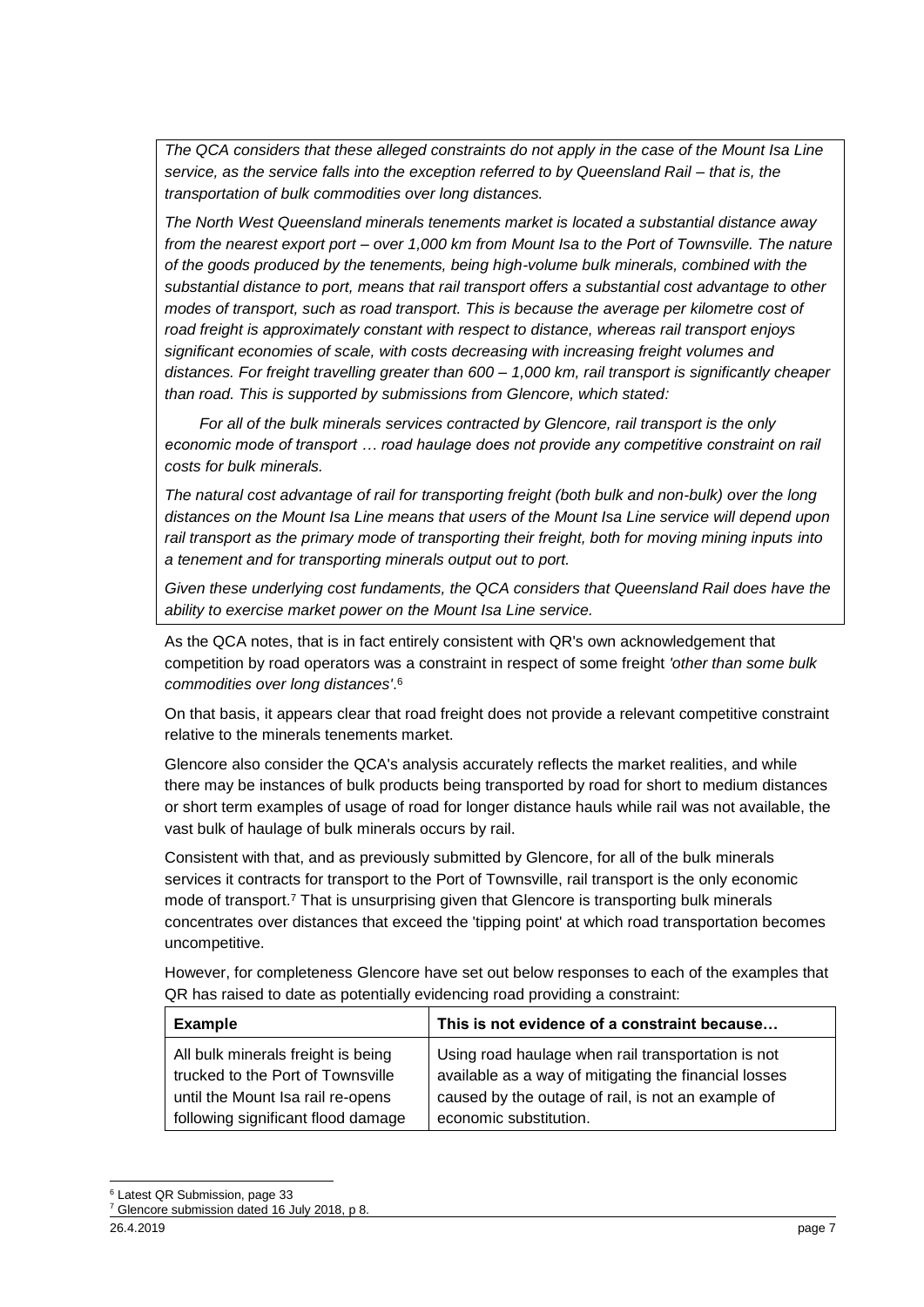*The QCA considers that these alleged constraints do not apply in the case of the Mount Isa Line service, as the service falls into the exception referred to by Queensland Rail – that is, the transportation of bulk commodities over long distances.*

*The North West Queensland minerals tenements market is located a substantial distance away from the nearest export port – over 1,000 km from Mount Isa to the Port of Townsville. The nature of the goods produced by the tenements, being high-volume bulk minerals, combined with the substantial distance to port, means that rail transport offers a substantial cost advantage to other modes of transport, such as road transport. This is because the average per kilometre cost of road freight is approximately constant with respect to distance, whereas rail transport enjoys significant economies of scale, with costs decreasing with increasing freight volumes and distances. For freight travelling greater than 600 – 1,000 km, rail transport is significantly cheaper than road. This is supported by submissions from Glencore, which stated:*

 *For all of the bulk minerals services contracted by Glencore, rail transport is the only economic mode of transport … road haulage does not provide any competitive constraint on rail costs for bulk minerals.*

*The natural cost advantage of rail for transporting freight (both bulk and non-bulk) over the long distances on the Mount Isa Line means that users of the Mount Isa Line service will depend upon rail transport as the primary mode of transporting their freight, both for moving mining inputs into a tenement and for transporting minerals output out to port.*

*Given these underlying cost fundaments, the QCA considers that Queensland Rail does have the ability to exercise market power on the Mount Isa Line service.*

As the QCA notes, that is in fact entirely consistent with QR's own acknowledgement that competition by road operators was a constraint in respect of some freight *'other than some bulk commodities over long distances'*. 6

On that basis, it appears clear that road freight does not provide a relevant competitive constraint relative to the minerals tenements market.

Glencore also consider the QCA's analysis accurately reflects the market realities, and while there may be instances of bulk products being transported by road for short to medium distances or short term examples of usage of road for longer distance hauls while rail was not available, the vast bulk of haulage of bulk minerals occurs by rail.

Consistent with that, and as previously submitted by Glencore, for all of the bulk minerals services it contracts for transport to the Port of Townsville, rail transport is the only economic mode of transport.<sup>7</sup> That is unsurprising given that Glencore is transporting bulk minerals concentrates over distances that exceed the 'tipping point' at which road transportation becomes uncompetitive.

However, for completeness Glencore have set out below responses to each of the examples that QR has raised to date as potentially evidencing road providing a constraint:

| <b>Example</b>                                                         | This is not evidence of a constraint because                                                                |
|------------------------------------------------------------------------|-------------------------------------------------------------------------------------------------------------|
| All bulk minerals freight is being                                     | Using road haulage when rail transportation is not                                                          |
| trucked to the Port of Townsville<br>until the Mount Isa rail re-opens | available as a way of mitigating the financial losses<br>caused by the outage of rail, is not an example of |
| following significant flood damage                                     | economic substitution.                                                                                      |

<sup>&</sup>lt;sup>6</sup> Latest QR Submission, page 33

-

<sup>7</sup> Glencore submission dated 16 July 2018, p 8.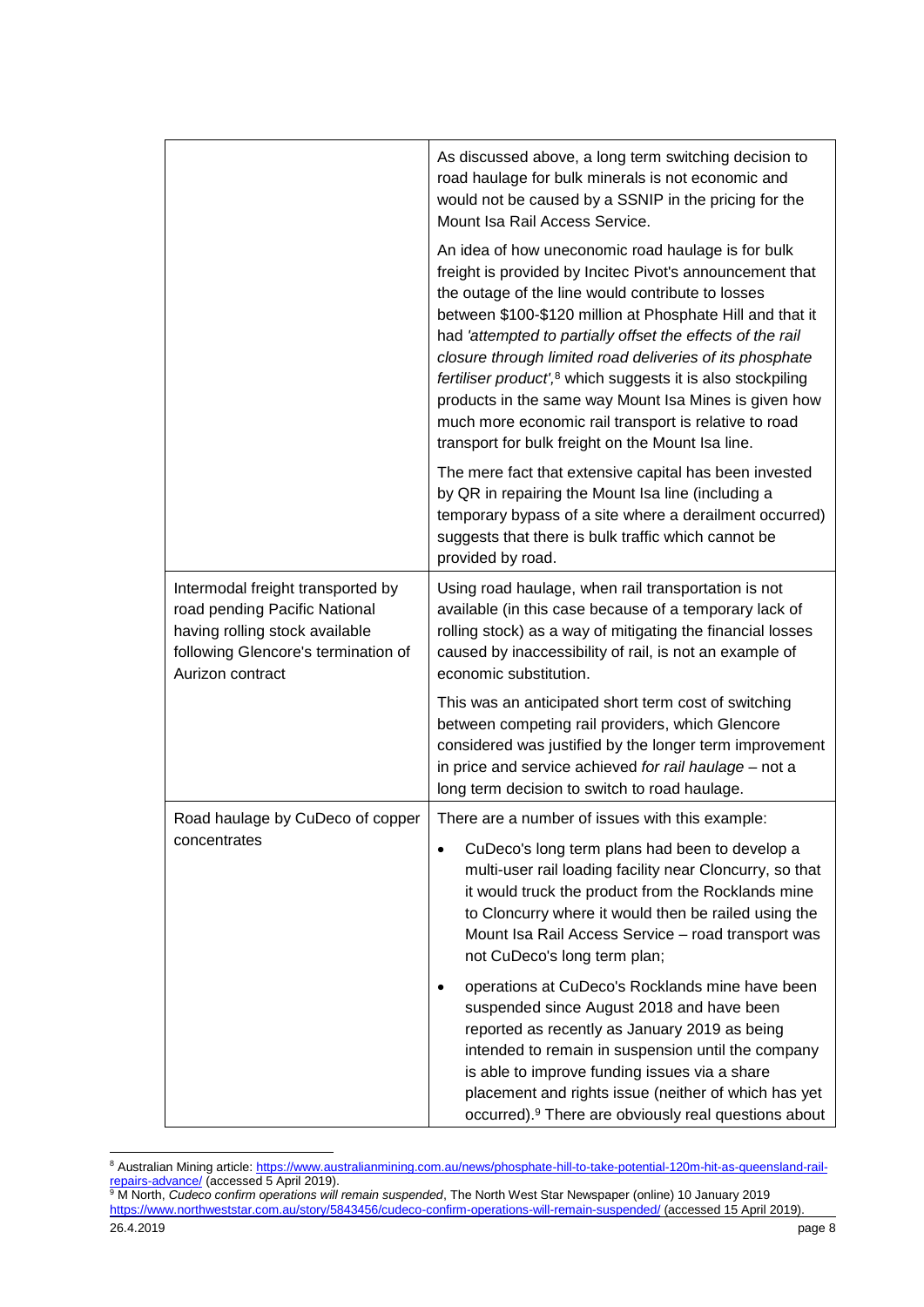|                                                                                                                                                                 | As discussed above, a long term switching decision to<br>road haulage for bulk minerals is not economic and<br>would not be caused by a SSNIP in the pricing for the<br>Mount Isa Rail Access Service.                                                                                                                                                                                                                                                                                                                                                                                                       |
|-----------------------------------------------------------------------------------------------------------------------------------------------------------------|--------------------------------------------------------------------------------------------------------------------------------------------------------------------------------------------------------------------------------------------------------------------------------------------------------------------------------------------------------------------------------------------------------------------------------------------------------------------------------------------------------------------------------------------------------------------------------------------------------------|
|                                                                                                                                                                 | An idea of how uneconomic road haulage is for bulk<br>freight is provided by Incitec Pivot's announcement that<br>the outage of the line would contribute to losses<br>between \$100-\$120 million at Phosphate Hill and that it<br>had 'attempted to partially offset the effects of the rail<br>closure through limited road deliveries of its phosphate<br>fertiliser product', <sup>8</sup> which suggests it is also stockpiling<br>products in the same way Mount Isa Mines is given how<br>much more economic rail transport is relative to road<br>transport for bulk freight on the Mount Isa line. |
|                                                                                                                                                                 | The mere fact that extensive capital has been invested<br>by QR in repairing the Mount Isa line (including a<br>temporary bypass of a site where a derailment occurred)<br>suggests that there is bulk traffic which cannot be<br>provided by road.                                                                                                                                                                                                                                                                                                                                                          |
| Intermodal freight transported by<br>road pending Pacific National<br>having rolling stock available<br>following Glencore's termination of<br>Aurizon contract | Using road haulage, when rail transportation is not<br>available (in this case because of a temporary lack of<br>rolling stock) as a way of mitigating the financial losses<br>caused by inaccessibility of rail, is not an example of<br>economic substitution.                                                                                                                                                                                                                                                                                                                                             |
|                                                                                                                                                                 | This was an anticipated short term cost of switching<br>between competing rail providers, which Glencore<br>considered was justified by the longer term improvement<br>in price and service achieved for rail haulage - not a<br>long term decision to switch to road haulage.                                                                                                                                                                                                                                                                                                                               |
| Road haulage by CuDeco of copper                                                                                                                                | There are a number of issues with this example:                                                                                                                                                                                                                                                                                                                                                                                                                                                                                                                                                              |
| concentrates                                                                                                                                                    | CuDeco's long term plans had been to develop a<br>$\bullet$<br>multi-user rail loading facility near Cloncurry, so that<br>it would truck the product from the Rocklands mine<br>to Cloncurry where it would then be railed using the<br>Mount Isa Rail Access Service - road transport was<br>not CuDeco's long term plan;                                                                                                                                                                                                                                                                                  |
|                                                                                                                                                                 | operations at CuDeco's Rocklands mine have been<br>suspended since August 2018 and have been<br>reported as recently as January 2019 as being<br>intended to remain in suspension until the company<br>is able to improve funding issues via a share<br>placement and rights issue (neither of which has yet<br>occurred). <sup>9</sup> There are obviously real questions about                                                                                                                                                                                                                             |

<sup>-</sup>8 Australian Mining article[: https://www.australianmining.com.au/news/phosphate-hill-to-take-potential-120m-hit-as-queensland-rail](https://www.australianmining.com.au/news/phosphate-hill-to-take-potential-120m-hit-as-queensland-rail-repairs-advance/)[repairs-advance/](https://www.australianmining.com.au/news/phosphate-hill-to-take-potential-120m-hit-as-queensland-rail-repairs-advance/) (accessed 5 April 2019).

<sup>26.4.2019</sup> page 8 <sup>9</sup> M North, *Cudeco confirm operations will remain suspended*, The North West Star Newspaper (online) 10 January 2019 <https://www.northweststar.com.au/story/5843456/cudeco-confirm-operations-will-remain-suspended/> (accessed 15 April 2019).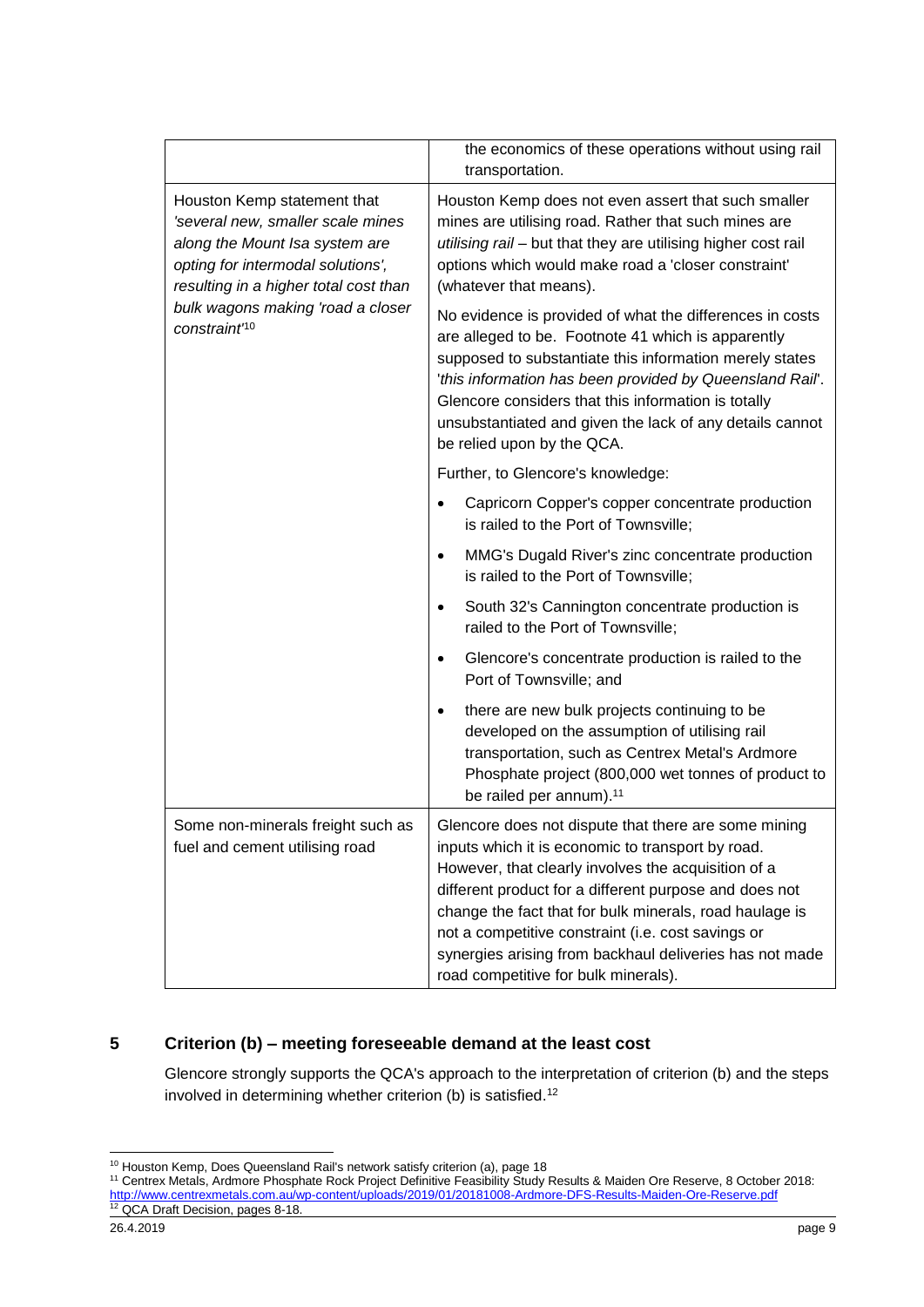|                                                                                                                                                                                                                                                   | the economics of these operations without using rail<br>transportation.                                                                                                                                                                                                                                                                                                                                                                        |
|---------------------------------------------------------------------------------------------------------------------------------------------------------------------------------------------------------------------------------------------------|------------------------------------------------------------------------------------------------------------------------------------------------------------------------------------------------------------------------------------------------------------------------------------------------------------------------------------------------------------------------------------------------------------------------------------------------|
| Houston Kemp statement that<br>'several new, smaller scale mines<br>along the Mount Isa system are<br>opting for intermodal solutions',<br>resulting in a higher total cost than<br>bulk wagons making 'road a closer<br>constraint <sup>no</sup> | Houston Kemp does not even assert that such smaller<br>mines are utilising road. Rather that such mines are<br>utilising rail - but that they are utilising higher cost rail<br>options which would make road a 'closer constraint'<br>(whatever that means).                                                                                                                                                                                  |
|                                                                                                                                                                                                                                                   | No evidence is provided of what the differences in costs<br>are alleged to be. Footnote 41 which is apparently<br>supposed to substantiate this information merely states<br>'this information has been provided by Queensland Rail'.<br>Glencore considers that this information is totally<br>unsubstantiated and given the lack of any details cannot<br>be relied upon by the QCA.                                                         |
|                                                                                                                                                                                                                                                   | Further, to Glencore's knowledge:                                                                                                                                                                                                                                                                                                                                                                                                              |
|                                                                                                                                                                                                                                                   | Capricorn Copper's copper concentrate production<br>is railed to the Port of Townsville;                                                                                                                                                                                                                                                                                                                                                       |
|                                                                                                                                                                                                                                                   | MMG's Dugald River's zinc concentrate production<br>$\bullet$<br>is railed to the Port of Townsville;                                                                                                                                                                                                                                                                                                                                          |
|                                                                                                                                                                                                                                                   | South 32's Cannington concentrate production is<br>$\bullet$<br>railed to the Port of Townsville;                                                                                                                                                                                                                                                                                                                                              |
|                                                                                                                                                                                                                                                   | Glencore's concentrate production is railed to the<br>$\bullet$<br>Port of Townsville; and                                                                                                                                                                                                                                                                                                                                                     |
|                                                                                                                                                                                                                                                   | there are new bulk projects continuing to be<br>$\bullet$<br>developed on the assumption of utilising rail<br>transportation, such as Centrex Metal's Ardmore<br>Phosphate project (800,000 wet tonnes of product to<br>be railed per annum). <sup>11</sup>                                                                                                                                                                                    |
| Some non-minerals freight such as<br>fuel and cement utilising road                                                                                                                                                                               | Glencore does not dispute that there are some mining<br>inputs which it is economic to transport by road.<br>However, that clearly involves the acquisition of a<br>different product for a different purpose and does not<br>change the fact that for bulk minerals, road haulage is<br>not a competitive constraint (i.e. cost savings or<br>synergies arising from backhaul deliveries has not made<br>road competitive for bulk minerals). |

#### **5 Criterion (b) – meeting foreseeable demand at the least cost**

Glencore strongly supports the QCA's approach to the interpretation of criterion (b) and the steps involved in determining whether criterion (b) is satisfied.<sup>12</sup>

<sup>-</sup><sup>10</sup> Houston Kemp, Does Queensland Rail's network satisfy criterion (a), page 18

<sup>11</sup> Centrex Metals, Ardmore Phosphate Rock Project Definitive Feasibility Study Results & Maiden Ore Reserve, 8 October 2018: <http://www.centrexmetals.com.au/wp-content/uploads/2019/01/20181008-Ardmore-DFS-Results-Maiden-Ore-Reserve.pdf> <sup>12</sup> QCA Draft Decision, pages 8-18.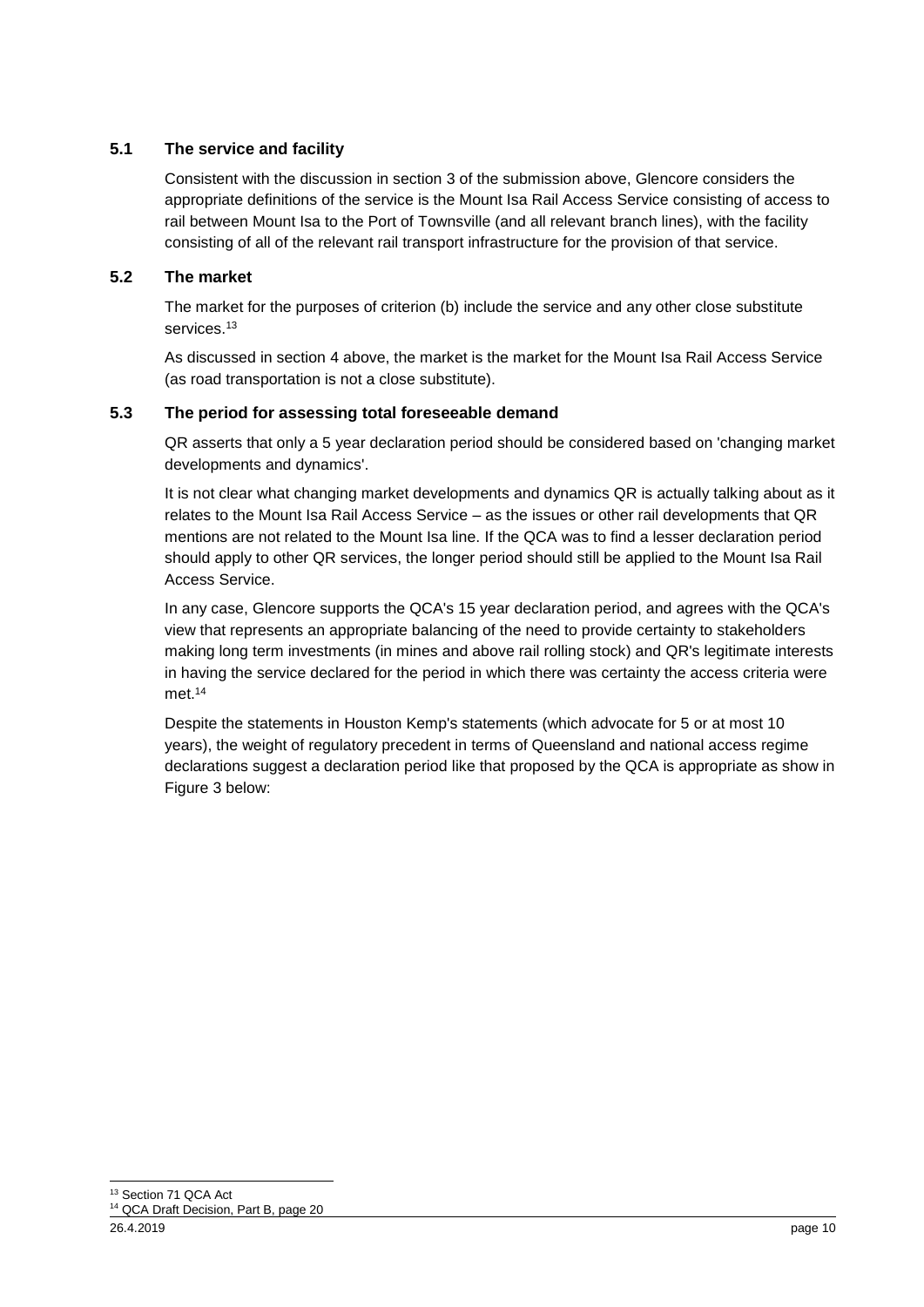#### **5.1 The service and facility**

Consistent with the discussion in section [3](#page-1-0) of the submission above, Glencore considers the appropriate definitions of the service is the Mount Isa Rail Access Service consisting of access to rail between Mount Isa to the Port of Townsville (and all relevant branch lines), with the facility consisting of all of the relevant rail transport infrastructure for the provision of that service.

#### **5.2 The market**

The market for the purposes of criterion (b) include the service and any other close substitute services.<sup>13</sup>

As discussed in section [4](#page-3-0) above, the market is the market for the Mount Isa Rail Access Service (as road transportation is not a close substitute).

#### **5.3 The period for assessing total foreseeable demand**

QR asserts that only a 5 year declaration period should be considered based on 'changing market developments and dynamics'.

It is not clear what changing market developments and dynamics QR is actually talking about as it relates to the Mount Isa Rail Access Service – as the issues or other rail developments that QR mentions are not related to the Mount Isa line. If the QCA was to find a lesser declaration period should apply to other QR services, the longer period should still be applied to the Mount Isa Rail Access Service.

In any case, Glencore supports the QCA's 15 year declaration period, and agrees with the QCA's view that represents an appropriate balancing of the need to provide certainty to stakeholders making long term investments (in mines and above rail rolling stock) and QR's legitimate interests in having the service declared for the period in which there was certainty the access criteria were met. 14

Despite the statements in Houston Kemp's statements (which advocate for 5 or at most 10 years), the weight of regulatory precedent in terms of Queensland and national access regime declarations suggest a declaration period like that proposed by the QCA is appropriate as show in Figure 3 below: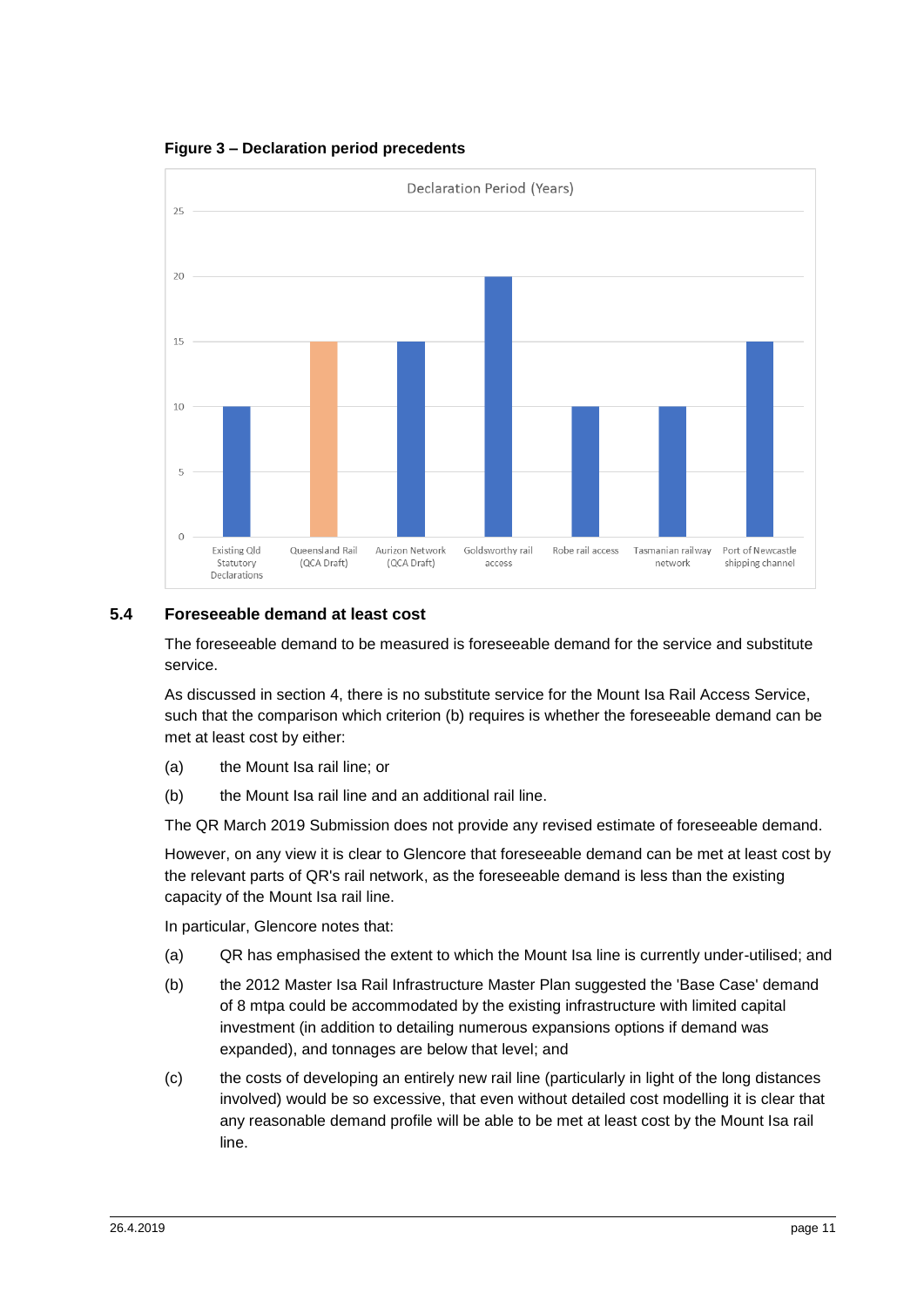**Figure 3 – Declaration period precedents**



#### **5.4 Foreseeable demand at least cost**

The foreseeable demand to be measured is foreseeable demand for the service and substitute service.

As discussed in section [4,](#page-3-0) there is no substitute service for the Mount Isa Rail Access Service, such that the comparison which criterion (b) requires is whether the foreseeable demand can be met at least cost by either:

- (a) the Mount Isa rail line; or
- (b) the Mount Isa rail line and an additional rail line.

The QR March 2019 Submission does not provide any revised estimate of foreseeable demand.

However, on any view it is clear to Glencore that foreseeable demand can be met at least cost by the relevant parts of QR's rail network, as the foreseeable demand is less than the existing capacity of the Mount Isa rail line.

In particular, Glencore notes that:

- (a) QR has emphasised the extent to which the Mount Isa line is currently under-utilised; and
- (b) the 2012 Master Isa Rail Infrastructure Master Plan suggested the 'Base Case' demand of 8 mtpa could be accommodated by the existing infrastructure with limited capital investment (in addition to detailing numerous expansions options if demand was expanded), and tonnages are below that level; and
- (c) the costs of developing an entirely new rail line (particularly in light of the long distances involved) would be so excessive, that even without detailed cost modelling it is clear that any reasonable demand profile will be able to be met at least cost by the Mount Isa rail line.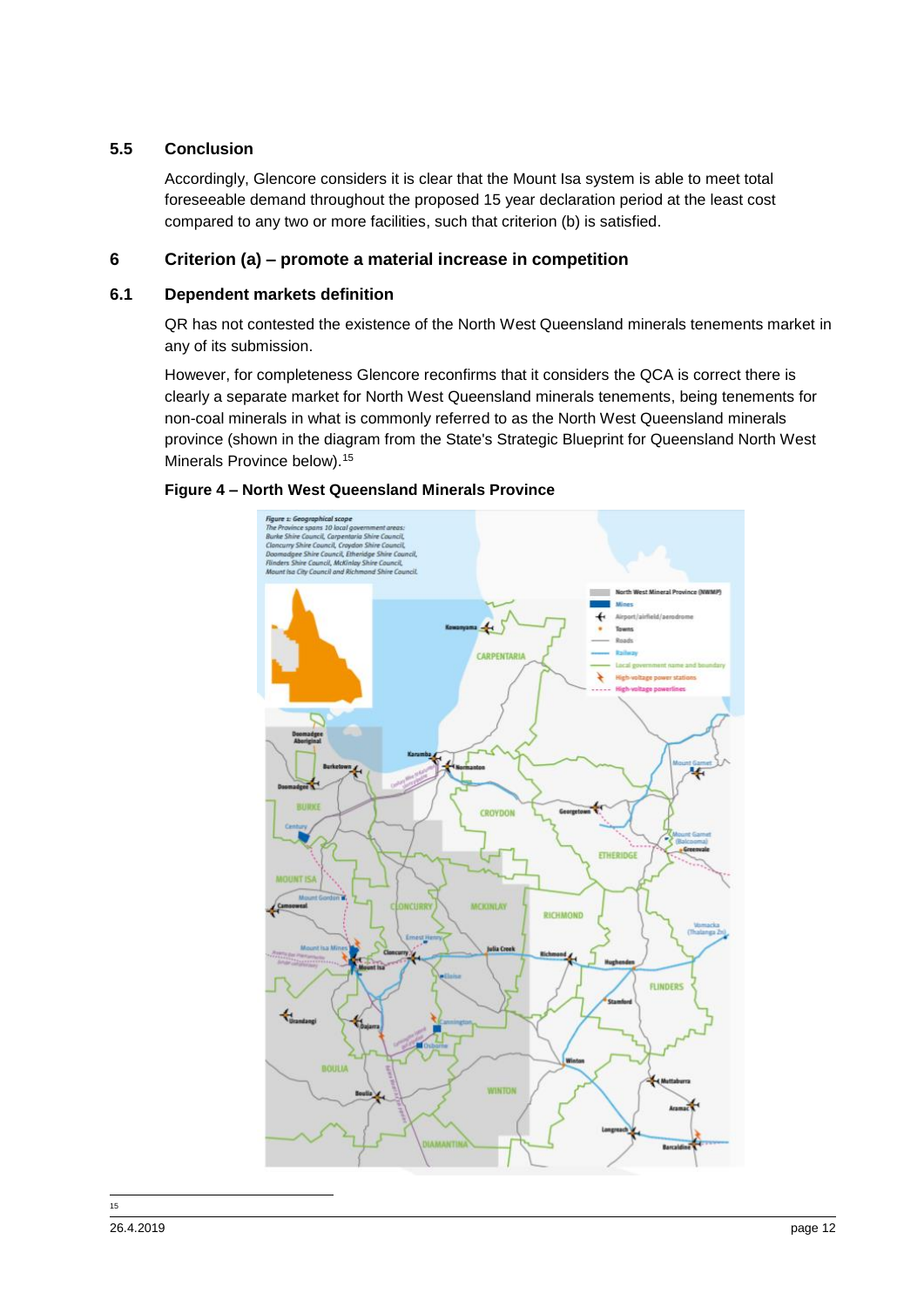#### **5.5 Conclusion**

Accordingly, Glencore considers it is clear that the Mount Isa system is able to meet total foreseeable demand throughout the proposed 15 year declaration period at the least cost compared to any two or more facilities, such that criterion (b) is satisfied.

#### **6 Criterion (a) – promote a material increase in competition**

#### **6.1 Dependent markets definition**

QR has not contested the existence of the North West Queensland minerals tenements market in any of its submission.

However, for completeness Glencore reconfirms that it considers the QCA is correct there is clearly a separate market for North West Queensland minerals tenements, being tenements for non-coal minerals in what is commonly referred to as the North West Queensland minerals province (shown in the diagram from the State's Strategic Blueprint for Queensland North West Minerals Province below).<sup>15</sup>





 $\frac{1}{15}$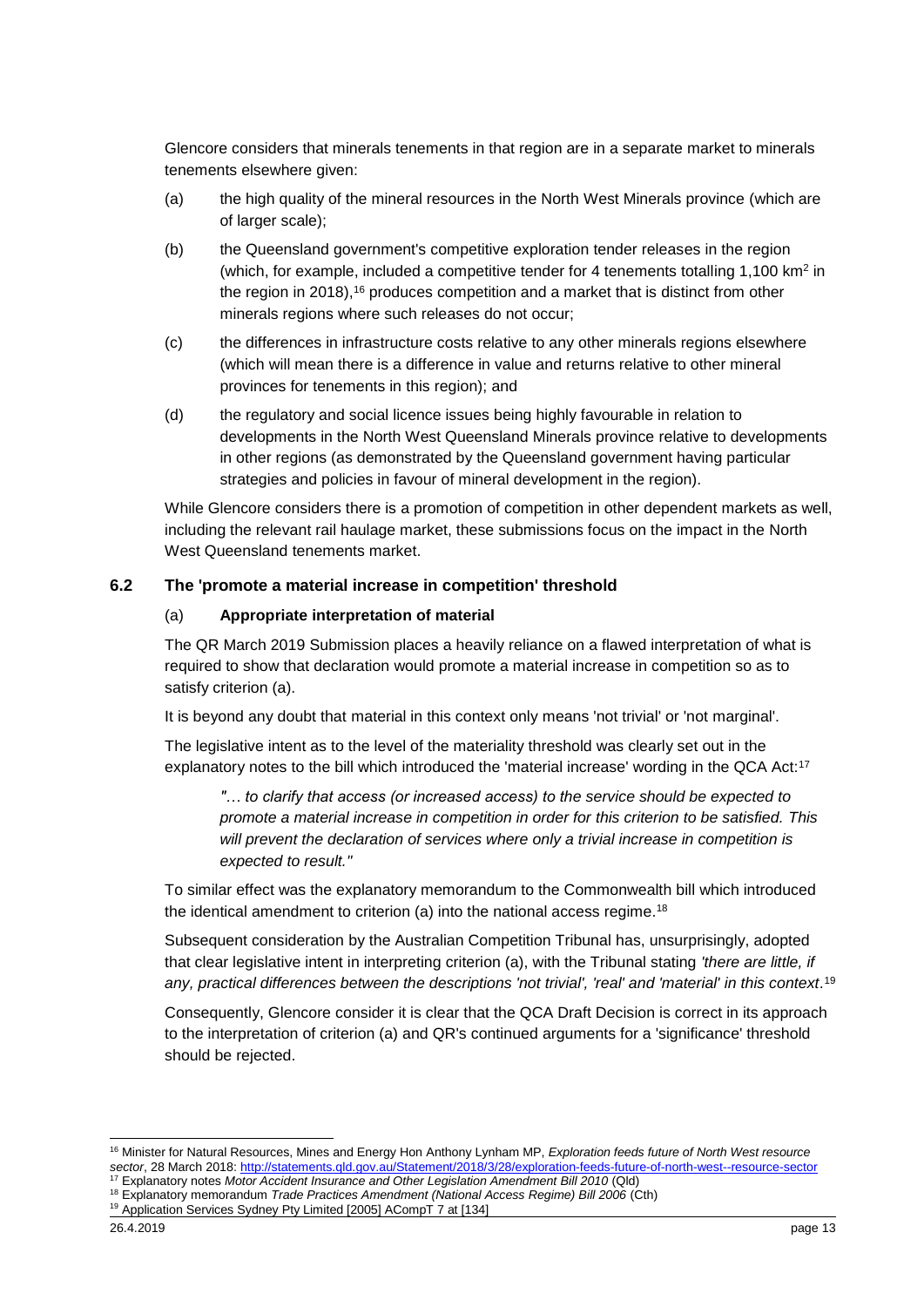Glencore considers that minerals tenements in that region are in a separate market to minerals tenements elsewhere given:

- (a) the high quality of the mineral resources in the North West Minerals province (which are of larger scale);
- (b) the Queensland government's competitive exploration tender releases in the region (which, for example, included a competitive tender for 4 tenements totalling  $1,100 \text{ km}^2$  in the region in 2018),<sup>16</sup> produces competition and a market that is distinct from other minerals regions where such releases do not occur;
- (c) the differences in infrastructure costs relative to any other minerals regions elsewhere (which will mean there is a difference in value and returns relative to other mineral provinces for tenements in this region); and
- (d) the regulatory and social licence issues being highly favourable in relation to developments in the North West Queensland Minerals province relative to developments in other regions (as demonstrated by the Queensland government having particular strategies and policies in favour of mineral development in the region).

While Glencore considers there is a promotion of competition in other dependent markets as well, including the relevant rail haulage market, these submissions focus on the impact in the North West Queensland tenements market.

#### **6.2 The 'promote a material increase in competition' threshold**

#### (a) **Appropriate interpretation of material**

The QR March 2019 Submission places a heavily reliance on a flawed interpretation of what is required to show that declaration would promote a material increase in competition so as to satisfy criterion (a).

It is beyond any doubt that material in this context only means 'not trivial' or 'not marginal'.

The legislative intent as to the level of the materiality threshold was clearly set out in the explanatory notes to the bill which introduced the 'material increase' wording in the QCA Act:<sup>17</sup>

*"… to clarify that access (or increased access) to the service should be expected to promote a material increase in competition in order for this criterion to be satisfied. This will prevent the declaration of services where only a trivial increase in competition is expected to result."*

To similar effect was the explanatory memorandum to the Commonwealth bill which introduced the identical amendment to criterion (a) into the national access regime.<sup>18</sup>

Subsequent consideration by the Australian Competition Tribunal has, unsurprisingly, adopted that clear legislative intent in interpreting criterion (a), with the Tribunal stating *'there are little, if any, practical differences between the descriptions 'not trivial', 'real' and 'material' in this context.* 19

Consequently, Glencore consider it is clear that the QCA Draft Decision is correct in its approach to the interpretation of criterion (a) and QR's continued arguments for a 'significance' threshold should be rejected.

1

<sup>16</sup> Minister for Natural Resources, Mines and Energy Hon Anthony Lynham MP, *Exploration feeds future of North West resource sector*, 28 March 2018:<http://statements.qld.gov.au/Statement/2018/3/28/exploration-feeds-future-of-north-west--resource-sector>

<sup>17</sup> Explanatory notes *Motor Accident Insurance and Other Legislation Amendment Bill 2010* (Qld)

<sup>18</sup> Explanatory memorandum *Trade Practices Amendment (National Access Regime) Bill 2006* (Cth)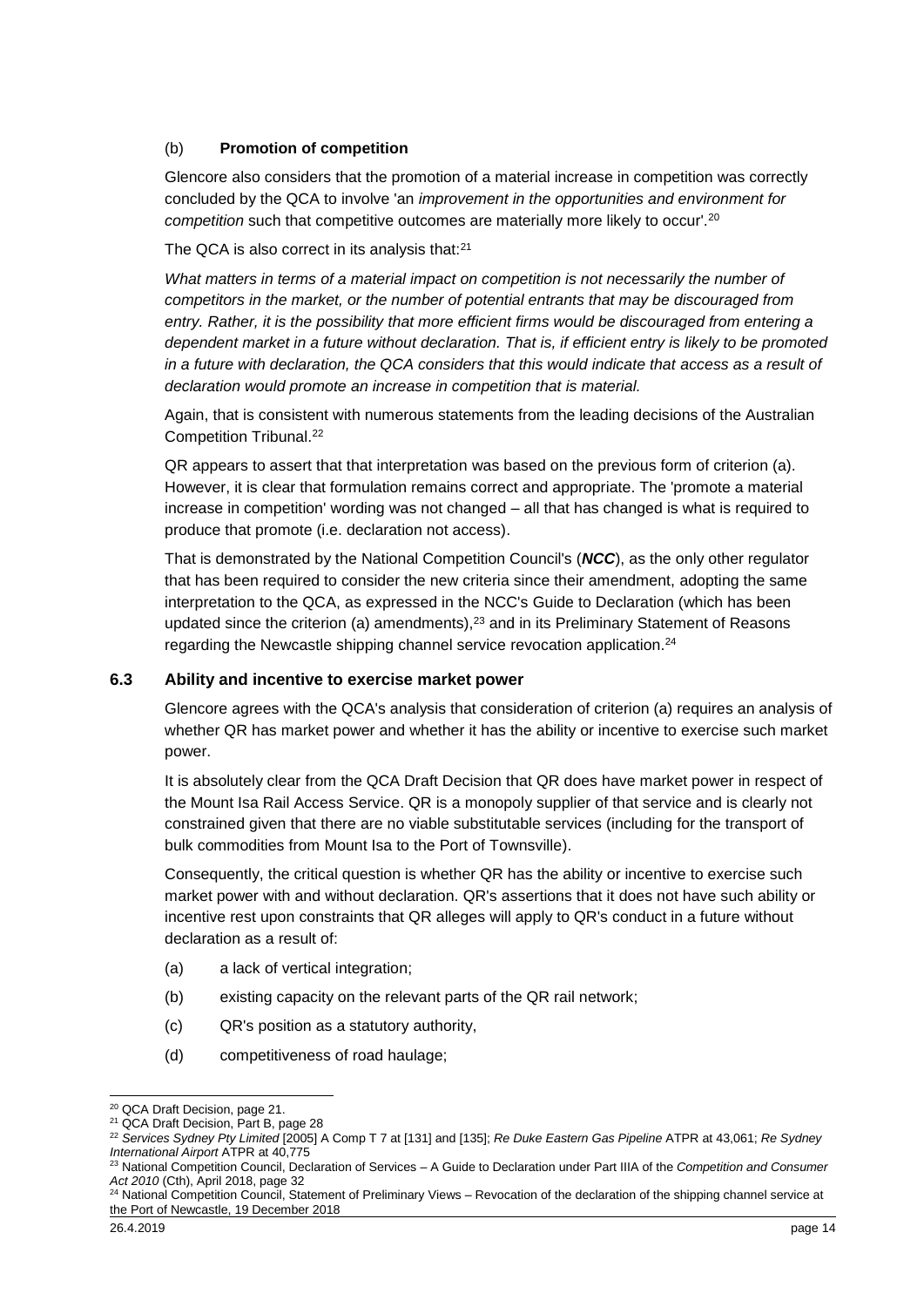#### (b) **Promotion of competition**

Glencore also considers that the promotion of a material increase in competition was correctly concluded by the QCA to involve 'an *improvement in the opportunities and environment for competition* such that competitive outcomes are materially more likely to occur'.<sup>20</sup>

The QCA is also correct in its analysis that:<sup>21</sup>

What matters in terms of a material impact on competition is not necessarily the number of *competitors in the market, or the number of potential entrants that may be discouraged from entry. Rather, it is the possibility that more efficient firms would be discouraged from entering a dependent market in a future without declaration. That is, if efficient entry is likely to be promoted in a future with declaration, the QCA considers that this would indicate that access as a result of declaration would promote an increase in competition that is material.*

Again, that is consistent with numerous statements from the leading decisions of the Australian Competition Tribunal.<sup>22</sup>

QR appears to assert that that interpretation was based on the previous form of criterion (a). However, it is clear that formulation remains correct and appropriate. The 'promote a material increase in competition' wording was not changed – all that has changed is what is required to produce that promote (i.e. declaration not access).

That is demonstrated by the National Competition Council's (*NCC*), as the only other regulator that has been required to consider the new criteria since their amendment, adopting the same interpretation to the QCA, as expressed in the NCC's Guide to Declaration (which has been updated since the criterion (a) amendments),<sup>23</sup> and in its Preliminary Statement of Reasons regarding the Newcastle shipping channel service revocation application. 24

#### **6.3 Ability and incentive to exercise market power**

Glencore agrees with the QCA's analysis that consideration of criterion (a) requires an analysis of whether QR has market power and whether it has the ability or incentive to exercise such market power.

It is absolutely clear from the QCA Draft Decision that QR does have market power in respect of the Mount Isa Rail Access Service. QR is a monopoly supplier of that service and is clearly not constrained given that there are no viable substitutable services (including for the transport of bulk commodities from Mount Isa to the Port of Townsville).

Consequently, the critical question is whether QR has the ability or incentive to exercise such market power with and without declaration. QR's assertions that it does not have such ability or incentive rest upon constraints that QR alleges will apply to QR's conduct in a future without declaration as a result of:

- (a) a lack of vertical integration;
- (b) existing capacity on the relevant parts of the QR rail network;
- (c) QR's position as a statutory authority,
- (d) competitiveness of road haulage;

-

<sup>&</sup>lt;sup>20</sup> QCA Draft Decision, page 21.

<sup>21</sup> QCA Draft Decision, Part B, page 28

<sup>22</sup> *Services Sydney Pty Limited* [2005] A Comp T 7 at [131] and [135]; *Re Duke Eastern Gas Pipeline* ATPR at 43,061; *Re Sydney International Airport* ATPR at 40,775

<sup>23</sup> National Competition Council, Declaration of Services – A Guide to Declaration under Part IIIA of the *Competition and Consumer Act 2010* (Cth), April 2018, page 32

<sup>&</sup>lt;sup>24</sup> National Competition Council, Statement of Preliminary Views – Revocation of the declaration of the shipping channel service at the Port of Newcastle, 19 December 2018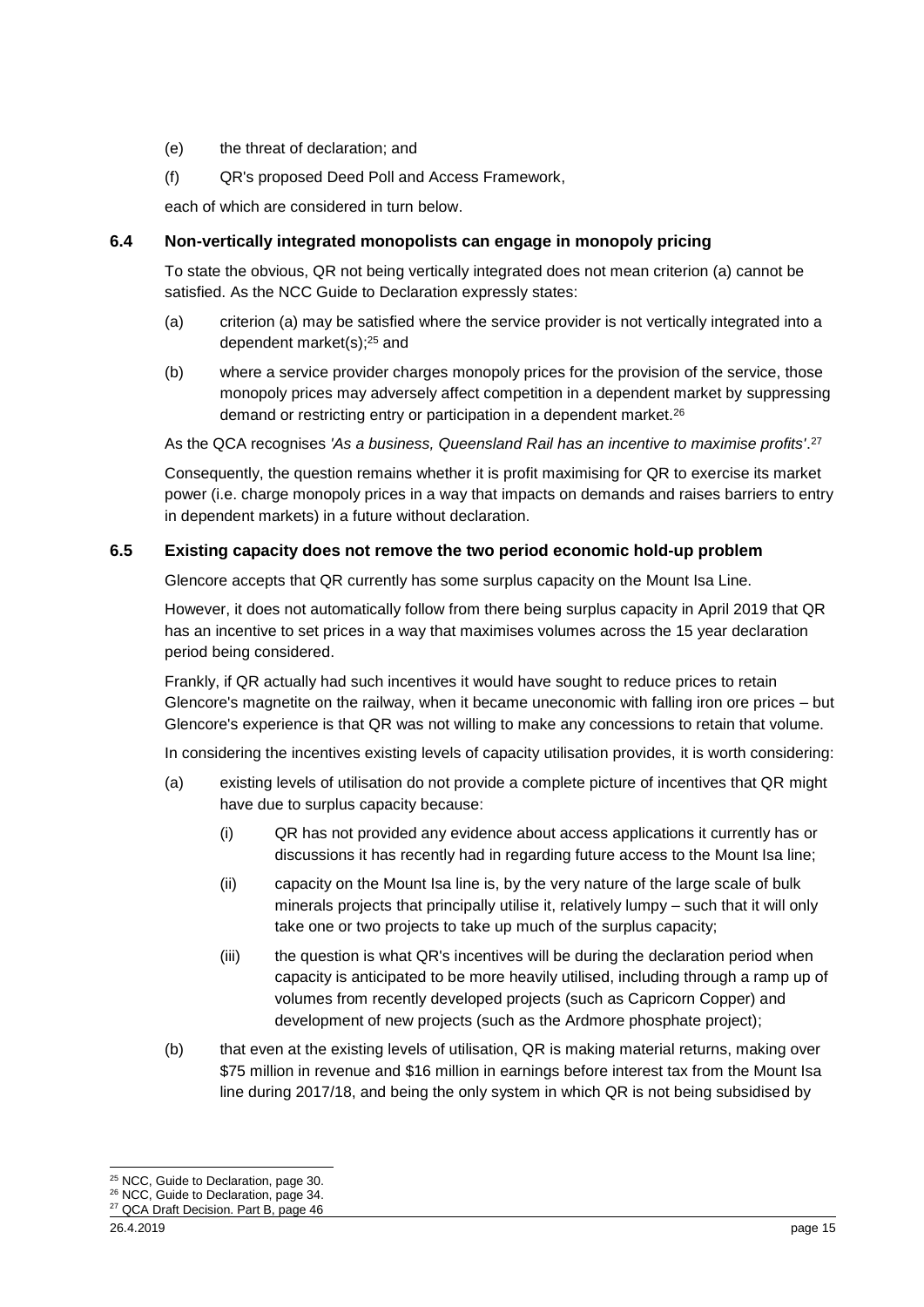- (e) the threat of declaration; and
- (f) QR's proposed Deed Poll and Access Framework,

each of which are considered in turn below.

#### **6.4 Non-vertically integrated monopolists can engage in monopoly pricing**

To state the obvious, QR not being vertically integrated does not mean criterion (a) cannot be satisfied. As the NCC Guide to Declaration expressly states:

- (a) criterion (a) may be satisfied where the service provider is not vertically integrated into a dependent market(s); <sup>25</sup> and
- (b) where a service provider charges monopoly prices for the provision of the service, those monopoly prices may adversely affect competition in a dependent market by suppressing demand or restricting entry or participation in a dependent market.<sup>26</sup>

As the QCA recognises *'As a business, Queensland Rail has an incentive to maximise profits'*. 27

Consequently, the question remains whether it is profit maximising for QR to exercise its market power (i.e. charge monopoly prices in a way that impacts on demands and raises barriers to entry in dependent markets) in a future without declaration.

#### **6.5 Existing capacity does not remove the two period economic hold-up problem**

Glencore accepts that QR currently has some surplus capacity on the Mount Isa Line.

However, it does not automatically follow from there being surplus capacity in April 2019 that QR has an incentive to set prices in a way that maximises volumes across the 15 year declaration period being considered.

Frankly, if QR actually had such incentives it would have sought to reduce prices to retain Glencore's magnetite on the railway, when it became uneconomic with falling iron ore prices – but Glencore's experience is that QR was not willing to make any concessions to retain that volume.

In considering the incentives existing levels of capacity utilisation provides, it is worth considering:

- (a) existing levels of utilisation do not provide a complete picture of incentives that QR might have due to surplus capacity because:
	- (i) QR has not provided any evidence about access applications it currently has or discussions it has recently had in regarding future access to the Mount Isa line;
	- (ii) capacity on the Mount Isa line is, by the very nature of the large scale of bulk minerals projects that principally utilise it, relatively lumpy – such that it will only take one or two projects to take up much of the surplus capacity;
	- (iii) the question is what QR's incentives will be during the declaration period when capacity is anticipated to be more heavily utilised, including through a ramp up of volumes from recently developed projects (such as Capricorn Copper) and development of new projects (such as the Ardmore phosphate project);
- (b) that even at the existing levels of utilisation, QR is making material returns, making over \$75 million in revenue and \$16 million in earnings before interest tax from the Mount Isa line during 2017/18, and being the only system in which QR is not being subsidised by

<sup>1</sup> <sup>25</sup> NCC, Guide to Declaration, page 30.

<sup>26</sup> NCC, Guide to Declaration, page 34.

<sup>&</sup>lt;sup>27</sup> QCA Draft Decision. Part B, page 46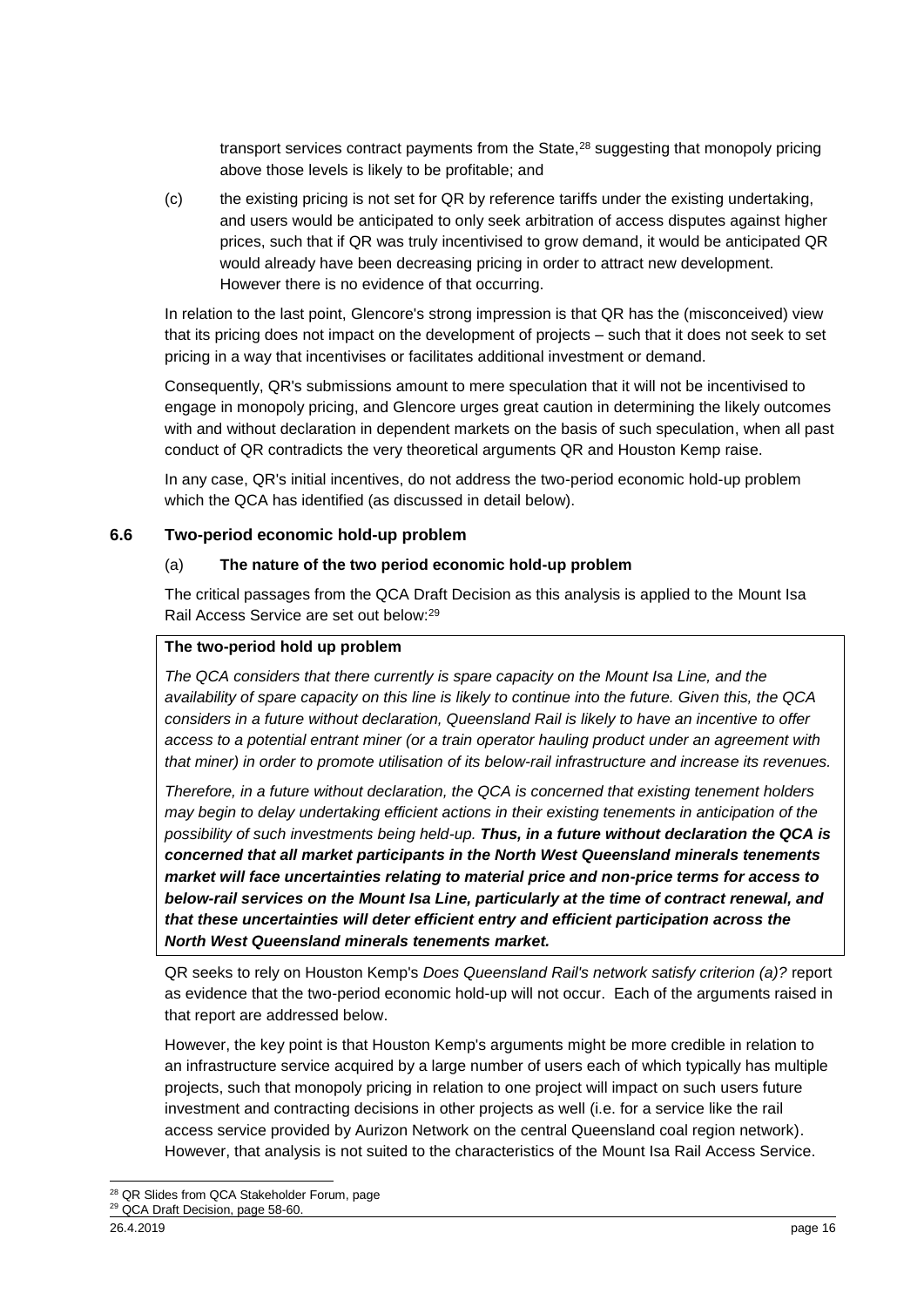transport services contract payments from the State,<sup>28</sup> suggesting that monopoly pricing above those levels is likely to be profitable; and

(c) the existing pricing is not set for QR by reference tariffs under the existing undertaking, and users would be anticipated to only seek arbitration of access disputes against higher prices, such that if QR was truly incentivised to grow demand, it would be anticipated QR would already have been decreasing pricing in order to attract new development. However there is no evidence of that occurring.

In relation to the last point, Glencore's strong impression is that QR has the (misconceived) view that its pricing does not impact on the development of projects – such that it does not seek to set pricing in a way that incentivises or facilitates additional investment or demand.

Consequently, QR's submissions amount to mere speculation that it will not be incentivised to engage in monopoly pricing, and Glencore urges great caution in determining the likely outcomes with and without declaration in dependent markets on the basis of such speculation, when all past conduct of QR contradicts the very theoretical arguments QR and Houston Kemp raise.

In any case, QR's initial incentives, do not address the two-period economic hold-up problem which the QCA has identified (as discussed in detail below).

#### **6.6 Two-period economic hold-up problem**

#### (a) **The nature of the two period economic hold-up problem**

The critical passages from the QCA Draft Decision as this analysis is applied to the Mount Isa Rail Access Service are set out below:<sup>29</sup>

#### **The two-period hold up problem**

*The QCA considers that there currently is spare capacity on the Mount Isa Line, and the availability of spare capacity on this line is likely to continue into the future. Given this, the QCA considers in a future without declaration, Queensland Rail is likely to have an incentive to offer access to a potential entrant miner (or a train operator hauling product under an agreement with that miner) in order to promote utilisation of its below-rail infrastructure and increase its revenues.*

*Therefore, in a future without declaration, the QCA is concerned that existing tenement holders may begin to delay undertaking efficient actions in their existing tenements in anticipation of the possibility of such investments being held-up. Thus, in a future without declaration the QCA is concerned that all market participants in the North West Queensland minerals tenements market will face uncertainties relating to material price and non-price terms for access to below-rail services on the Mount Isa Line, particularly at the time of contract renewal, and that these uncertainties will deter efficient entry and efficient participation across the North West Queensland minerals tenements market.*

QR seeks to rely on Houston Kemp's *Does Queensland Rail's network satisfy criterion (a)?* report as evidence that the two-period economic hold-up will not occur. Each of the arguments raised in that report are addressed below.

However, the key point is that Houston Kemp's arguments might be more credible in relation to an infrastructure service acquired by a large number of users each of which typically has multiple projects, such that monopoly pricing in relation to one project will impact on such users future investment and contracting decisions in other projects as well (i.e. for a service like the rail access service provided by Aurizon Network on the central Queensland coal region network). However, that analysis is not suited to the characteristics of the Mount Isa Rail Access Service.

<sup>-</sup><sup>28</sup> QR Slides from QCA Stakeholder Forum, page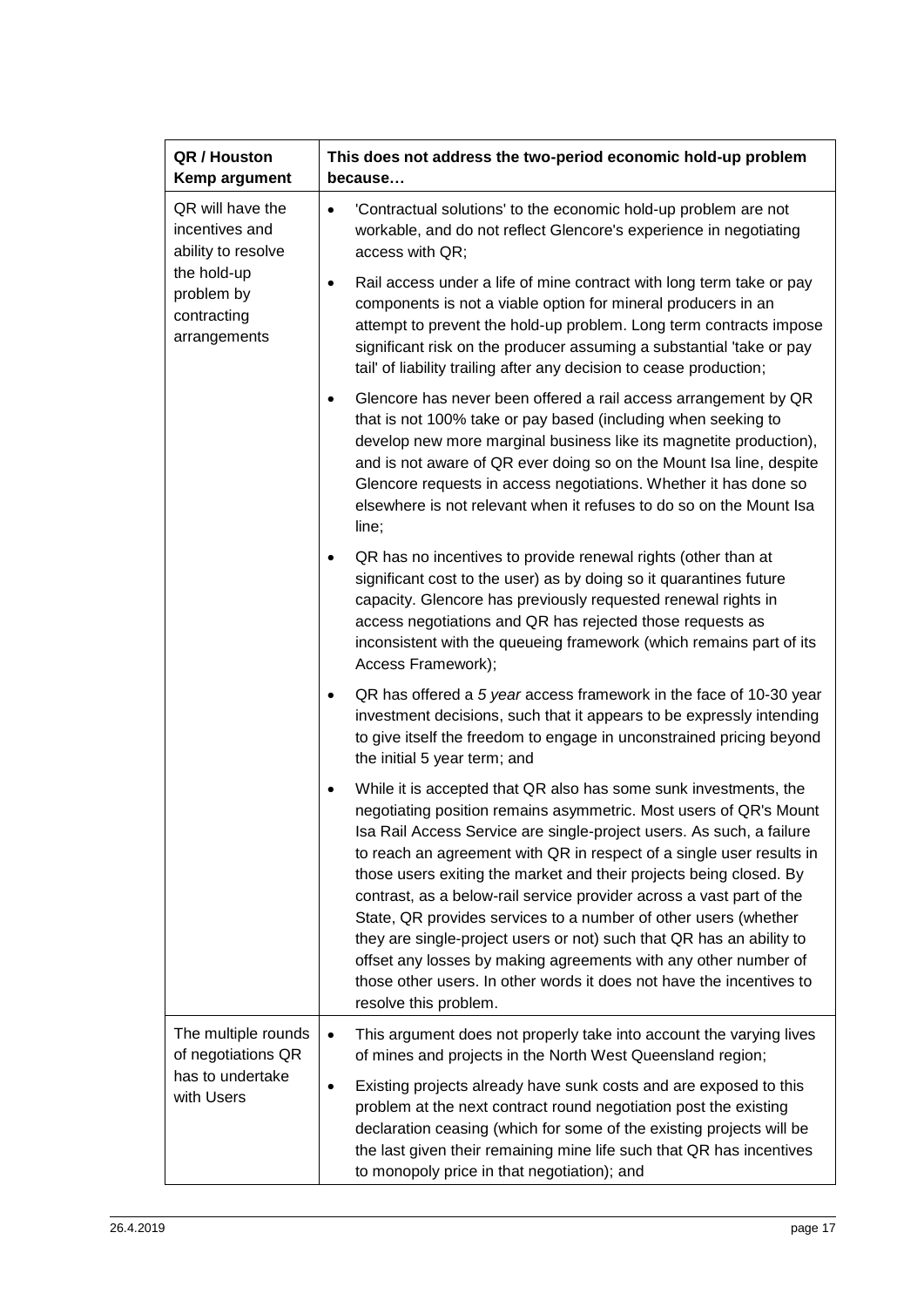| QR / Houston<br>Kemp argument                                                                                        | This does not address the two-period economic hold-up problem<br>because…                                                                                                                                                                                                                                                                                                                                                                                                                                                                                                                                                                                                                                                                                       |
|----------------------------------------------------------------------------------------------------------------------|-----------------------------------------------------------------------------------------------------------------------------------------------------------------------------------------------------------------------------------------------------------------------------------------------------------------------------------------------------------------------------------------------------------------------------------------------------------------------------------------------------------------------------------------------------------------------------------------------------------------------------------------------------------------------------------------------------------------------------------------------------------------|
| QR will have the<br>incentives and<br>ability to resolve<br>the hold-up<br>problem by<br>contracting<br>arrangements | 'Contractual solutions' to the economic hold-up problem are not<br>$\bullet$<br>workable, and do not reflect Glencore's experience in negotiating<br>access with QR;                                                                                                                                                                                                                                                                                                                                                                                                                                                                                                                                                                                            |
|                                                                                                                      | Rail access under a life of mine contract with long term take or pay<br>٠<br>components is not a viable option for mineral producers in an<br>attempt to prevent the hold-up problem. Long term contracts impose<br>significant risk on the producer assuming a substantial 'take or pay<br>tail' of liability trailing after any decision to cease production;                                                                                                                                                                                                                                                                                                                                                                                                 |
|                                                                                                                      | Glencore has never been offered a rail access arrangement by QR<br>$\bullet$<br>that is not 100% take or pay based (including when seeking to<br>develop new more marginal business like its magnetite production),<br>and is not aware of QR ever doing so on the Mount Isa line, despite<br>Glencore requests in access negotiations. Whether it has done so<br>elsewhere is not relevant when it refuses to do so on the Mount Isa<br>line;                                                                                                                                                                                                                                                                                                                  |
|                                                                                                                      | QR has no incentives to provide renewal rights (other than at<br>significant cost to the user) as by doing so it quarantines future<br>capacity. Glencore has previously requested renewal rights in<br>access negotiations and QR has rejected those requests as<br>inconsistent with the queueing framework (which remains part of its<br>Access Framework);                                                                                                                                                                                                                                                                                                                                                                                                  |
|                                                                                                                      | QR has offered a 5 year access framework in the face of 10-30 year<br>$\bullet$<br>investment decisions, such that it appears to be expressly intending<br>to give itself the freedom to engage in unconstrained pricing beyond<br>the initial 5 year term; and                                                                                                                                                                                                                                                                                                                                                                                                                                                                                                 |
|                                                                                                                      | While it is accepted that QR also has some sunk investments, the<br>$\bullet$<br>negotiating position remains asymmetric. Most users of QR's Mount<br>Isa Rail Access Service are single-project users. As such, a failure<br>to reach an agreement with QR in respect of a single user results in<br>those users exiting the market and their projects being closed. By<br>contrast, as a below-rail service provider across a vast part of the<br>State, QR provides services to a number of other users (whether<br>they are single-project users or not) such that QR has an ability to<br>offset any losses by making agreements with any other number of<br>those other users. In other words it does not have the incentives to<br>resolve this problem. |
| The multiple rounds<br>of negotiations QR<br>has to undertake<br>with Users                                          | This argument does not properly take into account the varying lives<br>$\bullet$<br>of mines and projects in the North West Queensland region;                                                                                                                                                                                                                                                                                                                                                                                                                                                                                                                                                                                                                  |
|                                                                                                                      | Existing projects already have sunk costs and are exposed to this<br>$\bullet$<br>problem at the next contract round negotiation post the existing<br>declaration ceasing (which for some of the existing projects will be<br>the last given their remaining mine life such that QR has incentives<br>to monopoly price in that negotiation); and                                                                                                                                                                                                                                                                                                                                                                                                               |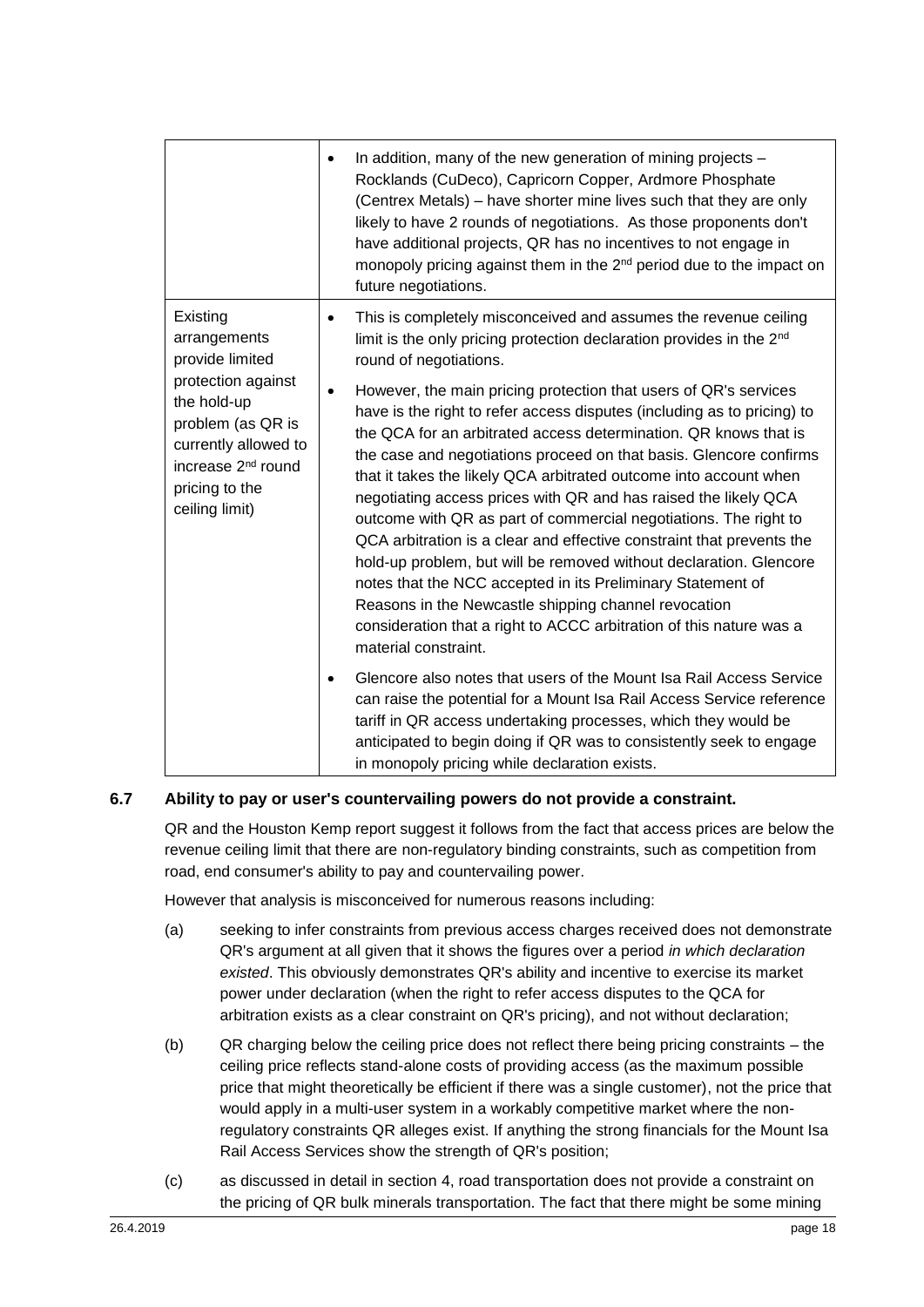|                                                                                                                                                      | In addition, many of the new generation of mining projects -<br>$\bullet$<br>Rocklands (CuDeco), Capricorn Copper, Ardmore Phosphate<br>(Centrex Metals) – have shorter mine lives such that they are only<br>likely to have 2 rounds of negotiations. As those proponents don't<br>have additional projects, QR has no incentives to not engage in<br>monopoly pricing against them in the 2 <sup>nd</sup> period due to the impact on<br>future negotiations.                                                                                                                                                                                                                                                                                                                                                                                                                     |
|------------------------------------------------------------------------------------------------------------------------------------------------------|-------------------------------------------------------------------------------------------------------------------------------------------------------------------------------------------------------------------------------------------------------------------------------------------------------------------------------------------------------------------------------------------------------------------------------------------------------------------------------------------------------------------------------------------------------------------------------------------------------------------------------------------------------------------------------------------------------------------------------------------------------------------------------------------------------------------------------------------------------------------------------------|
| Existing<br>arrangements<br>provide limited                                                                                                          | This is completely misconceived and assumes the revenue ceiling<br>$\bullet$<br>limit is the only pricing protection declaration provides in the 2 <sup>nd</sup><br>round of negotiations.                                                                                                                                                                                                                                                                                                                                                                                                                                                                                                                                                                                                                                                                                          |
| protection against<br>the hold-up<br>problem (as QR is<br>currently allowed to<br>increase 2 <sup>nd</sup> round<br>pricing to the<br>ceiling limit) | However, the main pricing protection that users of QR's services<br>$\bullet$<br>have is the right to refer access disputes (including as to pricing) to<br>the QCA for an arbitrated access determination. QR knows that is<br>the case and negotiations proceed on that basis. Glencore confirms<br>that it takes the likely QCA arbitrated outcome into account when<br>negotiating access prices with QR and has raised the likely QCA<br>outcome with QR as part of commercial negotiations. The right to<br>QCA arbitration is a clear and effective constraint that prevents the<br>hold-up problem, but will be removed without declaration. Glencore<br>notes that the NCC accepted in its Preliminary Statement of<br>Reasons in the Newcastle shipping channel revocation<br>consideration that a right to ACCC arbitration of this nature was a<br>material constraint. |
|                                                                                                                                                      | Glencore also notes that users of the Mount Isa Rail Access Service<br>$\bullet$<br>can raise the potential for a Mount Isa Rail Access Service reference<br>tariff in QR access undertaking processes, which they would be<br>anticipated to begin doing if QR was to consistently seek to engage<br>in monopoly pricing while declaration exists.                                                                                                                                                                                                                                                                                                                                                                                                                                                                                                                                 |

#### **6.7 Ability to pay or user's countervailing powers do not provide a constraint.**

QR and the Houston Kemp report suggest it follows from the fact that access prices are below the revenue ceiling limit that there are non-regulatory binding constraints, such as competition from road, end consumer's ability to pay and countervailing power.

However that analysis is misconceived for numerous reasons including:

- (a) seeking to infer constraints from previous access charges received does not demonstrate QR's argument at all given that it shows the figures over a period *in which declaration existed*. This obviously demonstrates QR's ability and incentive to exercise its market power under declaration (when the right to refer access disputes to the QCA for arbitration exists as a clear constraint on QR's pricing), and not without declaration;
- (b) QR charging below the ceiling price does not reflect there being pricing constraints the ceiling price reflects stand-alone costs of providing access (as the maximum possible price that might theoretically be efficient if there was a single customer), not the price that would apply in a multi-user system in a workably competitive market where the nonregulatory constraints QR alleges exist. If anything the strong financials for the Mount Isa Rail Access Services show the strength of QR's position;
- (c) as discussed in detail in section [4,](#page-3-0) road transportation does not provide a constraint on the pricing of QR bulk minerals transportation. The fact that there might be some mining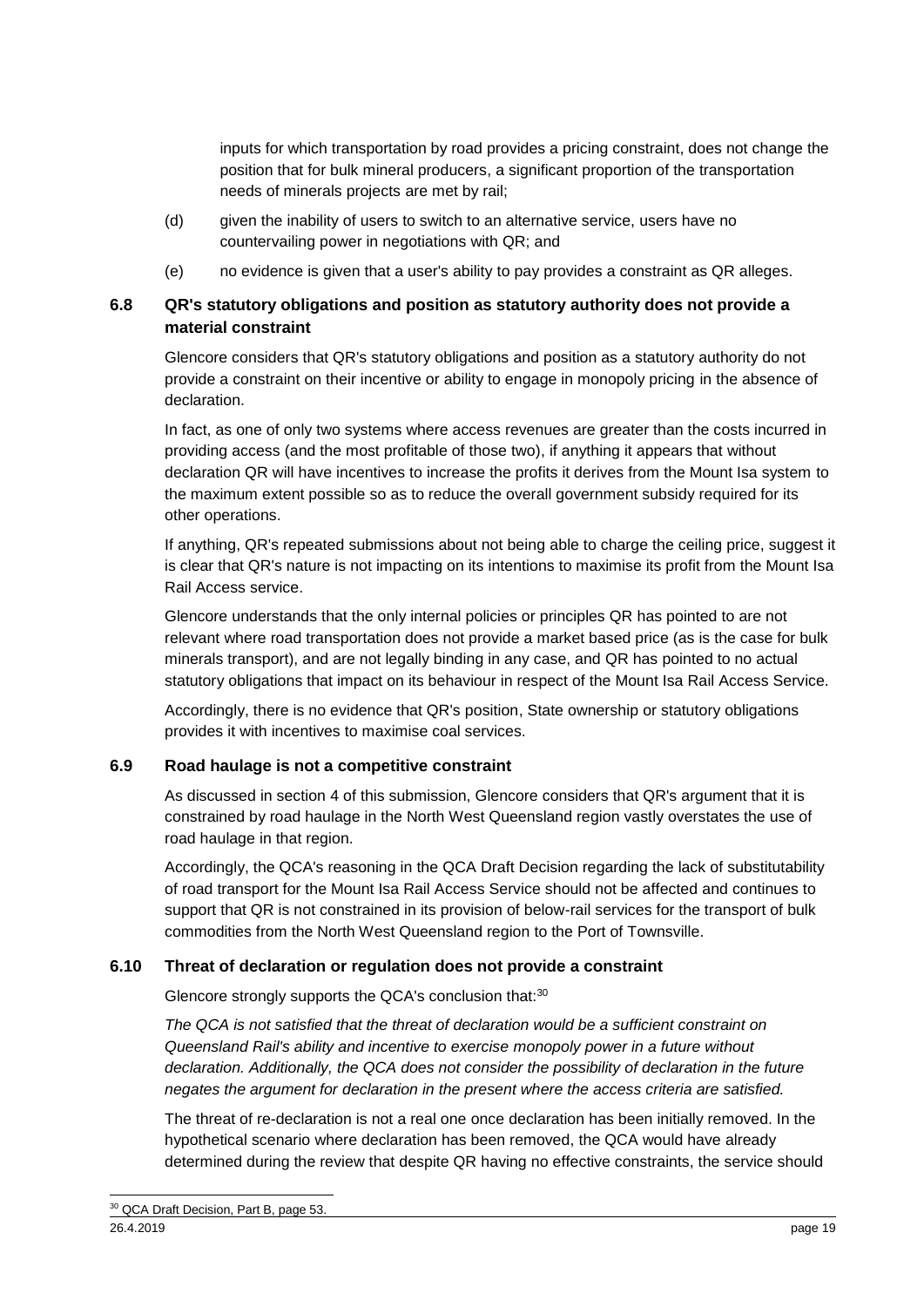inputs for which transportation by road provides a pricing constraint, does not change the position that for bulk mineral producers, a significant proportion of the transportation needs of minerals projects are met by rail;

- (d) given the inability of users to switch to an alternative service, users have no countervailing power in negotiations with QR; and
- (e) no evidence is given that a user's ability to pay provides a constraint as QR alleges.

#### **6.8 QR's statutory obligations and position as statutory authority does not provide a material constraint**

Glencore considers that QR's statutory obligations and position as a statutory authority do not provide a constraint on their incentive or ability to engage in monopoly pricing in the absence of declaration.

In fact, as one of only two systems where access revenues are greater than the costs incurred in providing access (and the most profitable of those two), if anything it appears that without declaration QR will have incentives to increase the profits it derives from the Mount Isa system to the maximum extent possible so as to reduce the overall government subsidy required for its other operations.

If anything, QR's repeated submissions about not being able to charge the ceiling price, suggest it is clear that QR's nature is not impacting on its intentions to maximise its profit from the Mount Isa Rail Access service.

Glencore understands that the only internal policies or principles QR has pointed to are not relevant where road transportation does not provide a market based price (as is the case for bulk minerals transport), and are not legally binding in any case, and QR has pointed to no actual statutory obligations that impact on its behaviour in respect of the Mount Isa Rail Access Service.

Accordingly, there is no evidence that QR's position, State ownership or statutory obligations provides it with incentives to maximise coal services.

#### **6.9 Road haulage is not a competitive constraint**

As discussed in section [4](#page-3-0) of this submission, Glencore considers that QR's argument that it is constrained by road haulage in the North West Queensland region vastly overstates the use of road haulage in that region.

Accordingly, the QCA's reasoning in the QCA Draft Decision regarding the lack of substitutability of road transport for the Mount Isa Rail Access Service should not be affected and continues to support that QR is not constrained in its provision of below-rail services for the transport of bulk commodities from the North West Queensland region to the Port of Townsville.

#### **6.10 Threat of declaration or regulation does not provide a constraint**

Glencore strongly supports the QCA's conclusion that:<sup>30</sup>

*The QCA is not satisfied that the threat of declaration would be a sufficient constraint on Queensland Rail's ability and incentive to exercise monopoly power in a future without declaration. Additionally, the QCA does not consider the possibility of declaration in the future negates the argument for declaration in the present where the access criteria are satisfied.*

The threat of re-declaration is not a real one once declaration has been initially removed. In the hypothetical scenario where declaration has been removed, the QCA would have already determined during the review that despite QR having no effective constraints, the service should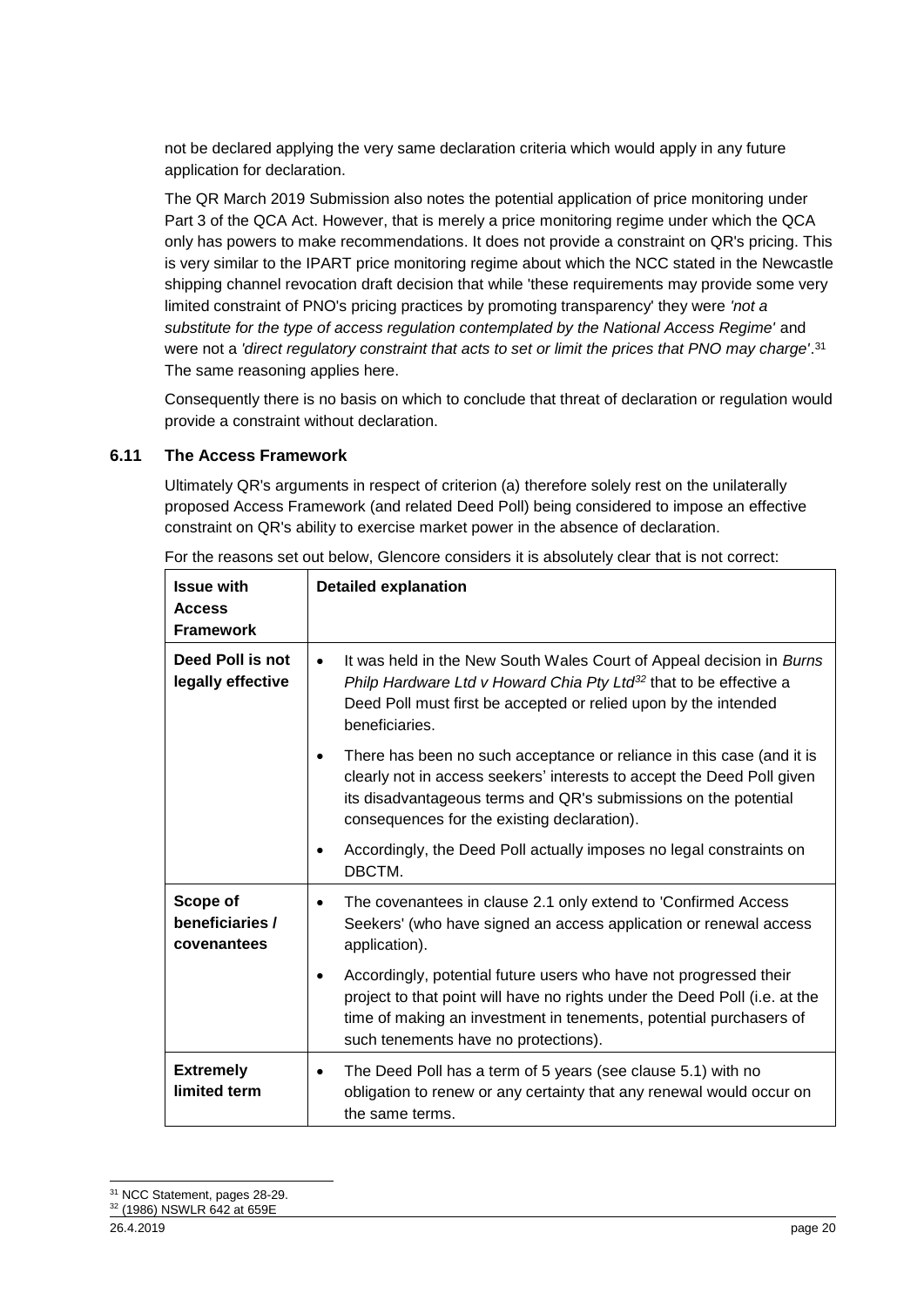not be declared applying the very same declaration criteria which would apply in any future application for declaration.

The QR March 2019 Submission also notes the potential application of price monitoring under Part 3 of the QCA Act. However, that is merely a price monitoring regime under which the QCA only has powers to make recommendations. It does not provide a constraint on QR's pricing. This is very similar to the IPART price monitoring regime about which the NCC stated in the Newcastle shipping channel revocation draft decision that while 'these requirements may provide some very limited constraint of PNO's pricing practices by promoting transparency' they were *'not a substitute for the type of access regulation contemplated by the National Access Regime'* and were not a *'direct regulatory constraint that acts to set or limit the prices that PNO may charge'*. 31 The same reasoning applies here.

Consequently there is no basis on which to conclude that threat of declaration or regulation would provide a constraint without declaration.

#### **6.11 The Access Framework**

Ultimately QR's arguments in respect of criterion (a) therefore solely rest on the unilaterally proposed Access Framework (and related Deed Poll) being considered to impose an effective constraint on QR's ability to exercise market power in the absence of declaration.

| <b>Issue with</b><br><b>Access</b><br><b>Framework</b> | <b>Detailed explanation</b>                                                                                                                                                                                                                                                |
|--------------------------------------------------------|----------------------------------------------------------------------------------------------------------------------------------------------------------------------------------------------------------------------------------------------------------------------------|
| Deed Poll is not<br>legally effective                  | It was held in the New South Wales Court of Appeal decision in Burns<br>$\bullet$<br>Philp Hardware Ltd v Howard Chia Pty Ltd <sup>32</sup> that to be effective a<br>Deed Poll must first be accepted or relied upon by the intended<br>beneficiaries.                    |
|                                                        | There has been no such acceptance or reliance in this case (and it is<br>clearly not in access seekers' interests to accept the Deed Poll given<br>its disadvantageous terms and QR's submissions on the potential<br>consequences for the existing declaration).          |
|                                                        | Accordingly, the Deed Poll actually imposes no legal constraints on<br>DBCTM.                                                                                                                                                                                              |
| Scope of<br>beneficiaries /<br>covenantees             | The covenantees in clause 2.1 only extend to 'Confirmed Access<br>Seekers' (who have signed an access application or renewal access<br>application).                                                                                                                       |
|                                                        | Accordingly, potential future users who have not progressed their<br>$\bullet$<br>project to that point will have no rights under the Deed Poll (i.e. at the<br>time of making an investment in tenements, potential purchasers of<br>such tenements have no protections). |
| <b>Extremely</b><br>limited term                       | The Deed Poll has a term of 5 years (see clause 5.1) with no<br>$\bullet$<br>obligation to renew or any certainty that any renewal would occur on<br>the same terms.                                                                                                       |

For the reasons set out below, Glencore considers it is absolutely clear that is not correct:

<sup>-</sup><sup>31</sup> NCC Statement, pages 28-29.

<sup>32</sup> (1986) NSWLR 642 at 659E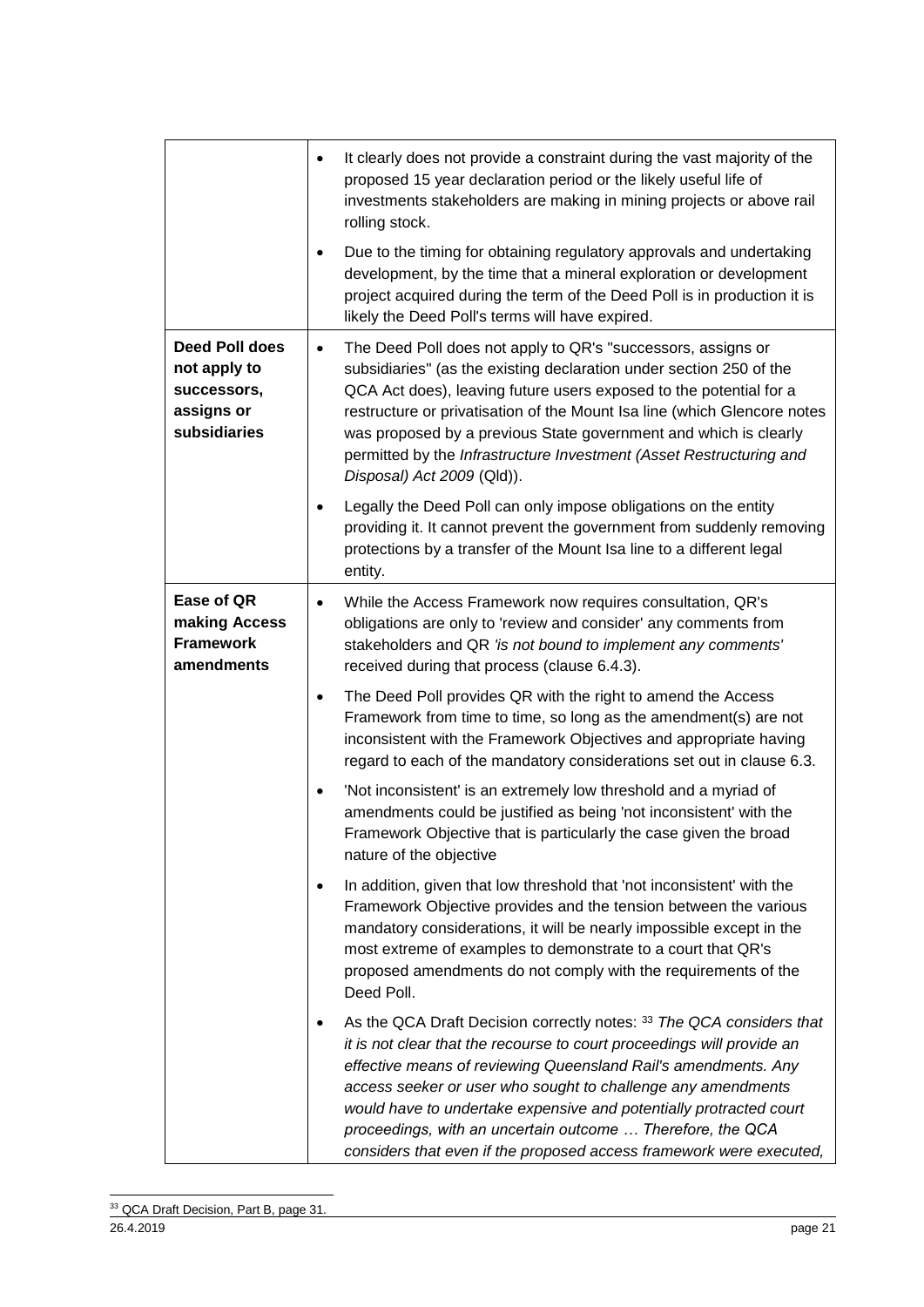|                                                                             | It clearly does not provide a constraint during the vast majority of the<br>$\bullet$<br>proposed 15 year declaration period or the likely useful life of<br>investments stakeholders are making in mining projects or above rail<br>rolling stock.<br>Due to the timing for obtaining regulatory approvals and undertaking<br>development, by the time that a mineral exploration or development<br>project acquired during the term of the Deed Poll is in production it is<br>likely the Deed Poll's terms will have expired. |
|-----------------------------------------------------------------------------|----------------------------------------------------------------------------------------------------------------------------------------------------------------------------------------------------------------------------------------------------------------------------------------------------------------------------------------------------------------------------------------------------------------------------------------------------------------------------------------------------------------------------------|
| Deed Poll does<br>not apply to<br>successors,<br>assigns or<br>subsidiaries | The Deed Poll does not apply to QR's "successors, assigns or<br>$\bullet$<br>subsidiaries" (as the existing declaration under section 250 of the<br>QCA Act does), leaving future users exposed to the potential for a<br>restructure or privatisation of the Mount Isa line (which Glencore notes<br>was proposed by a previous State government and which is clearly<br>permitted by the Infrastructure Investment (Asset Restructuring and<br>Disposal) Act 2009 (Qld)).                                                      |
|                                                                             | Legally the Deed Poll can only impose obligations on the entity<br>$\bullet$<br>providing it. It cannot prevent the government from suddenly removing<br>protections by a transfer of the Mount Isa line to a different legal<br>entity.                                                                                                                                                                                                                                                                                         |
| Ease of QR<br>making Access<br><b>Framework</b><br>amendments               | While the Access Framework now requires consultation, QR's<br>$\bullet$<br>obligations are only to 'review and consider' any comments from<br>stakeholders and QR 'is not bound to implement any comments'<br>received during that process (clause 6.4.3).                                                                                                                                                                                                                                                                       |
|                                                                             | The Deed Poll provides QR with the right to amend the Access<br>$\bullet$<br>Framework from time to time, so long as the amendment(s) are not<br>inconsistent with the Framework Objectives and appropriate having<br>regard to each of the mandatory considerations set out in clause 6.3.                                                                                                                                                                                                                                      |
|                                                                             | 'Not inconsistent' is an extremely low threshold and a myriad of<br>$\bullet$<br>amendments could be justified as being 'not inconsistent' with the<br>Framework Objective that is particularly the case given the broad<br>nature of the objective                                                                                                                                                                                                                                                                              |
|                                                                             | In addition, given that low threshold that 'not inconsistent' with the<br>$\bullet$<br>Framework Objective provides and the tension between the various<br>mandatory considerations, it will be nearly impossible except in the<br>most extreme of examples to demonstrate to a court that QR's<br>proposed amendments do not comply with the requirements of the<br>Deed Poll.                                                                                                                                                  |
|                                                                             | As the QCA Draft Decision correctly notes: 33 The QCA considers that<br>$\bullet$<br>it is not clear that the recourse to court proceedings will provide an<br>effective means of reviewing Queensland Rail's amendments. Any<br>access seeker or user who sought to challenge any amendments<br>would have to undertake expensive and potentially protracted court<br>proceedings, with an uncertain outcome  Therefore, the QCA<br>considers that even if the proposed access framework were executed,                         |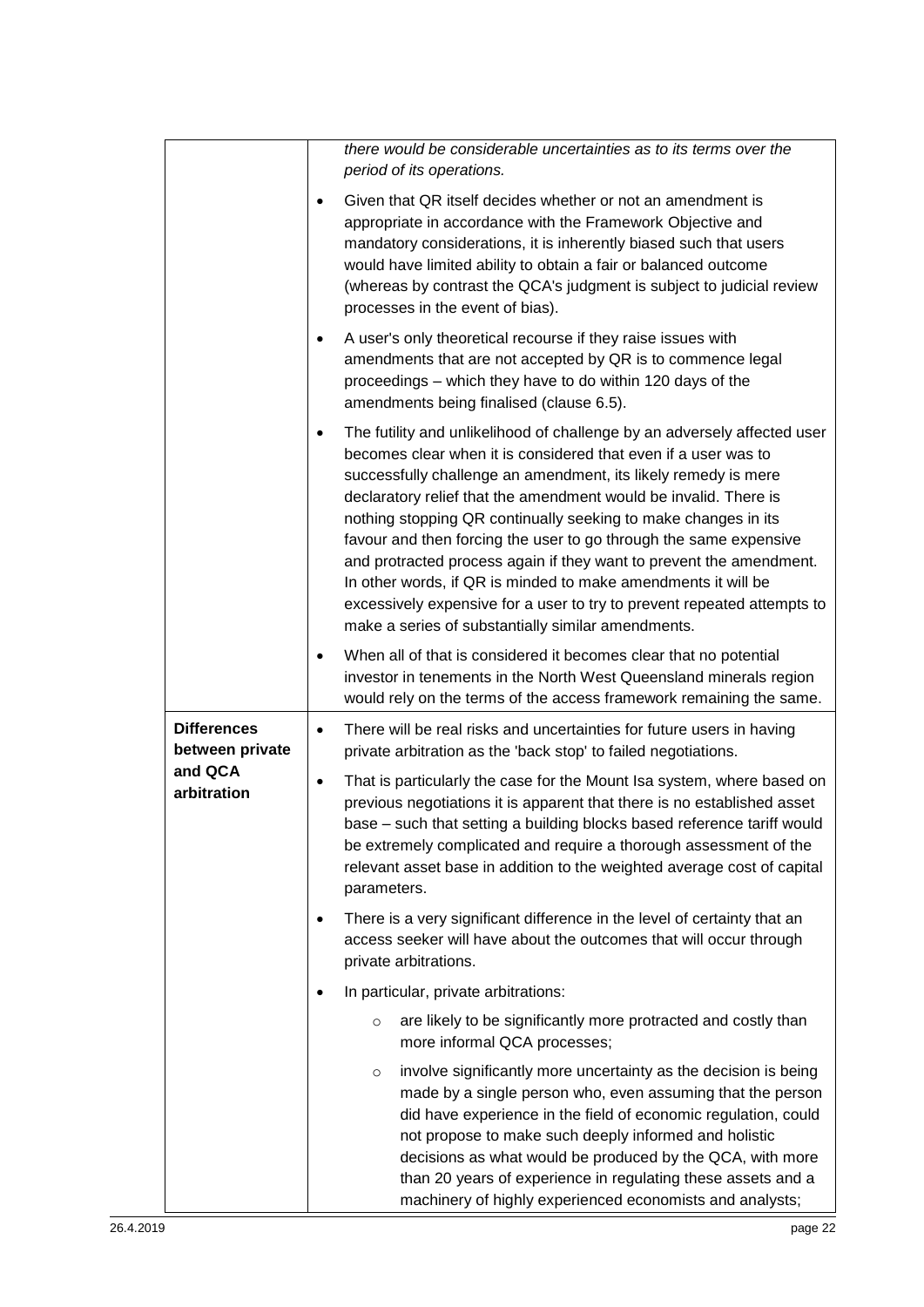|                                                                 | there would be considerable uncertainties as to its terms over the<br>period of its operations.                                                                                                                                                                                                                                                                                                                                                                                                                                                                                                                                                                                                       |
|-----------------------------------------------------------------|-------------------------------------------------------------------------------------------------------------------------------------------------------------------------------------------------------------------------------------------------------------------------------------------------------------------------------------------------------------------------------------------------------------------------------------------------------------------------------------------------------------------------------------------------------------------------------------------------------------------------------------------------------------------------------------------------------|
|                                                                 | Given that QR itself decides whether or not an amendment is<br>٠<br>appropriate in accordance with the Framework Objective and<br>mandatory considerations, it is inherently biased such that users<br>would have limited ability to obtain a fair or balanced outcome<br>(whereas by contrast the QCA's judgment is subject to judicial review<br>processes in the event of bias).                                                                                                                                                                                                                                                                                                                   |
|                                                                 | A user's only theoretical recourse if they raise issues with<br>٠<br>amendments that are not accepted by QR is to commence legal<br>proceedings - which they have to do within 120 days of the<br>amendments being finalised (clause 6.5).                                                                                                                                                                                                                                                                                                                                                                                                                                                            |
|                                                                 | The futility and unlikelihood of challenge by an adversely affected user<br>٠<br>becomes clear when it is considered that even if a user was to<br>successfully challenge an amendment, its likely remedy is mere<br>declaratory relief that the amendment would be invalid. There is<br>nothing stopping QR continually seeking to make changes in its<br>favour and then forcing the user to go through the same expensive<br>and protracted process again if they want to prevent the amendment.<br>In other words, if QR is minded to make amendments it will be<br>excessively expensive for a user to try to prevent repeated attempts to<br>make a series of substantially similar amendments. |
|                                                                 | When all of that is considered it becomes clear that no potential<br>٠<br>investor in tenements in the North West Queensland minerals region<br>would rely on the terms of the access framework remaining the same.                                                                                                                                                                                                                                                                                                                                                                                                                                                                                   |
| <b>Differences</b><br>between private<br>and QCA<br>arbitration | There will be real risks and uncertainties for future users in having<br>$\bullet$<br>private arbitration as the 'back stop' to failed negotiations.<br>That is particularly the case for the Mount Isa system, where based on<br>$\bullet$<br>previous negotiations it is apparent that there is no established asset<br>base - such that setting a building blocks based reference tariff would<br>be extremely complicated and require a thorough assessment of the<br>relevant asset base in addition to the weighted average cost of capital                                                                                                                                                     |
|                                                                 | parameters.<br>There is a very significant difference in the level of certainty that an<br>٠<br>access seeker will have about the outcomes that will occur through<br>private arbitrations.                                                                                                                                                                                                                                                                                                                                                                                                                                                                                                           |
|                                                                 | In particular, private arbitrations:<br>٠                                                                                                                                                                                                                                                                                                                                                                                                                                                                                                                                                                                                                                                             |
|                                                                 | are likely to be significantly more protracted and costly than<br>$\circ$<br>more informal QCA processes;                                                                                                                                                                                                                                                                                                                                                                                                                                                                                                                                                                                             |
|                                                                 | involve significantly more uncertainty as the decision is being<br>$\circ$<br>made by a single person who, even assuming that the person<br>did have experience in the field of economic regulation, could<br>not propose to make such deeply informed and holistic<br>decisions as what would be produced by the QCA, with more<br>than 20 years of experience in regulating these assets and a<br>machinery of highly experienced economists and analysts;                                                                                                                                                                                                                                          |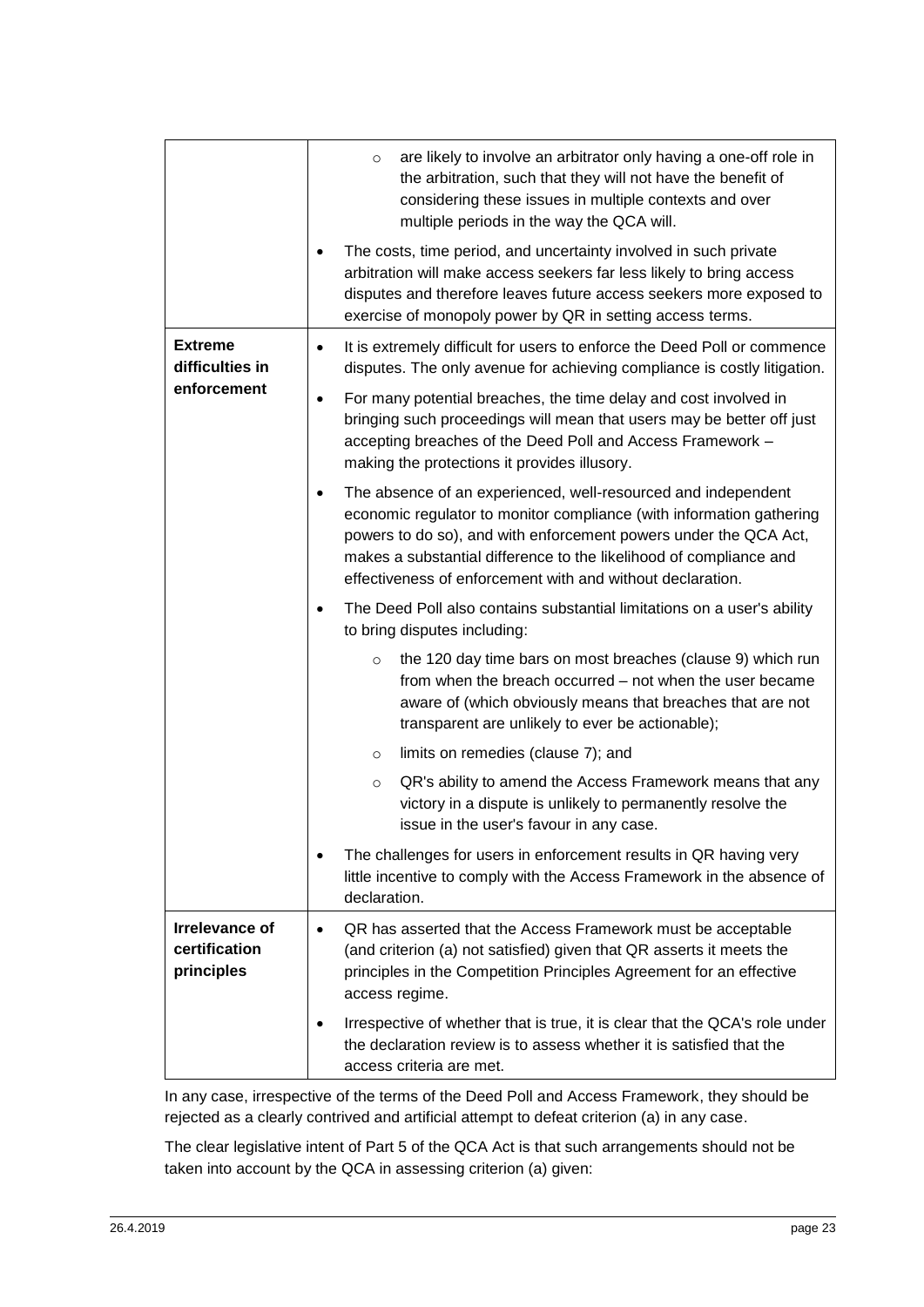|                                               | are likely to involve an arbitrator only having a one-off role in<br>$\circ$<br>the arbitration, such that they will not have the benefit of<br>considering these issues in multiple contexts and over<br>multiple periods in the way the QCA will.                                                                                                |
|-----------------------------------------------|----------------------------------------------------------------------------------------------------------------------------------------------------------------------------------------------------------------------------------------------------------------------------------------------------------------------------------------------------|
|                                               | The costs, time period, and uncertainty involved in such private<br>$\bullet$<br>arbitration will make access seekers far less likely to bring access<br>disputes and therefore leaves future access seekers more exposed to<br>exercise of monopoly power by QR in setting access terms.                                                          |
| <b>Extreme</b><br>difficulties in             | It is extremely difficult for users to enforce the Deed Poll or commence<br>$\bullet$<br>disputes. The only avenue for achieving compliance is costly litigation.                                                                                                                                                                                  |
| enforcement                                   | For many potential breaches, the time delay and cost involved in<br>bringing such proceedings will mean that users may be better off just<br>accepting breaches of the Deed Poll and Access Framework -<br>making the protections it provides illusory.                                                                                            |
|                                               | The absence of an experienced, well-resourced and independent<br>٠<br>economic regulator to monitor compliance (with information gathering<br>powers to do so), and with enforcement powers under the QCA Act,<br>makes a substantial difference to the likelihood of compliance and<br>effectiveness of enforcement with and without declaration. |
|                                               | The Deed Poll also contains substantial limitations on a user's ability<br>$\bullet$<br>to bring disputes including:                                                                                                                                                                                                                               |
|                                               | the 120 day time bars on most breaches (clause 9) which run<br>$\circ$<br>from when the breach occurred – not when the user became<br>aware of (which obviously means that breaches that are not<br>transparent are unlikely to ever be actionable);                                                                                               |
|                                               | limits on remedies (clause 7); and<br>$\circ$                                                                                                                                                                                                                                                                                                      |
|                                               | QR's ability to amend the Access Framework means that any<br>$\circ$<br>victory in a dispute is unlikely to permanently resolve the<br>issue in the user's favour in any case.                                                                                                                                                                     |
|                                               | The challenges for users in enforcement results in QR having very<br>little incentive to comply with the Access Framework in the absence of<br>declaration.                                                                                                                                                                                        |
| Irrelevance of<br>certification<br>principles | QR has asserted that the Access Framework must be acceptable<br>$\bullet$<br>(and criterion (a) not satisfied) given that QR asserts it meets the<br>principles in the Competition Principles Agreement for an effective<br>access regime.                                                                                                         |
|                                               | Irrespective of whether that is true, it is clear that the QCA's role under<br>the declaration review is to assess whether it is satisfied that the<br>access criteria are met.                                                                                                                                                                    |

In any case, irrespective of the terms of the Deed Poll and Access Framework, they should be rejected as a clearly contrived and artificial attempt to defeat criterion (a) in any case.

The clear legislative intent of Part 5 of the QCA Act is that such arrangements should not be taken into account by the QCA in assessing criterion (a) given: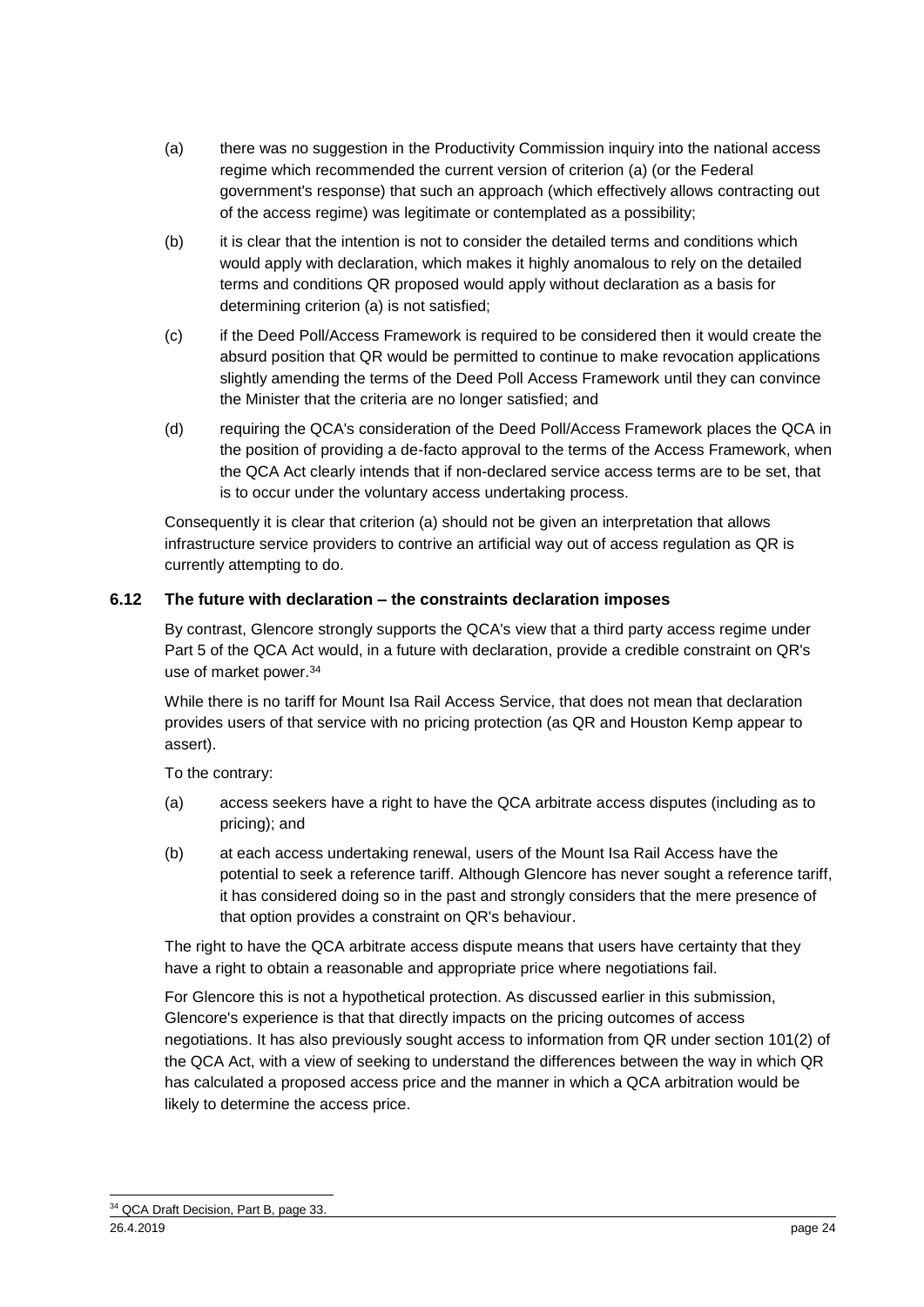- (a) there was no suggestion in the Productivity Commission inquiry into the national access regime which recommended the current version of criterion (a) (or the Federal government's response) that such an approach (which effectively allows contracting out of the access regime) was legitimate or contemplated as a possibility;
- (b) it is clear that the intention is not to consider the detailed terms and conditions which would apply with declaration, which makes it highly anomalous to rely on the detailed terms and conditions QR proposed would apply without declaration as a basis for determining criterion (a) is not satisfied;
- (c) if the Deed Poll/Access Framework is required to be considered then it would create the absurd position that QR would be permitted to continue to make revocation applications slightly amending the terms of the Deed Poll Access Framework until they can convince the Minister that the criteria are no longer satisfied; and
- (d) requiring the QCA's consideration of the Deed Poll/Access Framework places the QCA in the position of providing a de-facto approval to the terms of the Access Framework, when the QCA Act clearly intends that if non-declared service access terms are to be set, that is to occur under the voluntary access undertaking process.

Consequently it is clear that criterion (a) should not be given an interpretation that allows infrastructure service providers to contrive an artificial way out of access regulation as QR is currently attempting to do.

#### **6.12 The future with declaration – the constraints declaration imposes**

By contrast, Glencore strongly supports the QCA's view that a third party access regime under Part 5 of the QCA Act would, in a future with declaration, provide a credible constraint on QR's use of market power.<sup>34</sup>

While there is no tariff for Mount Isa Rail Access Service, that does not mean that declaration provides users of that service with no pricing protection (as QR and Houston Kemp appear to assert).

To the contrary:

- (a) access seekers have a right to have the QCA arbitrate access disputes (including as to pricing); and
- (b) at each access undertaking renewal, users of the Mount Isa Rail Access have the potential to seek a reference tariff. Although Glencore has never sought a reference tariff, it has considered doing so in the past and strongly considers that the mere presence of that option provides a constraint on QR's behaviour.

The right to have the QCA arbitrate access dispute means that users have certainty that they have a right to obtain a reasonable and appropriate price where negotiations fail.

For Glencore this is not a hypothetical protection. As discussed earlier in this submission, Glencore's experience is that that directly impacts on the pricing outcomes of access negotiations. It has also previously sought access to information from QR under section 101(2) of the QCA Act, with a view of seeking to understand the differences between the way in which QR has calculated a proposed access price and the manner in which a QCA arbitration would be likely to determine the access price.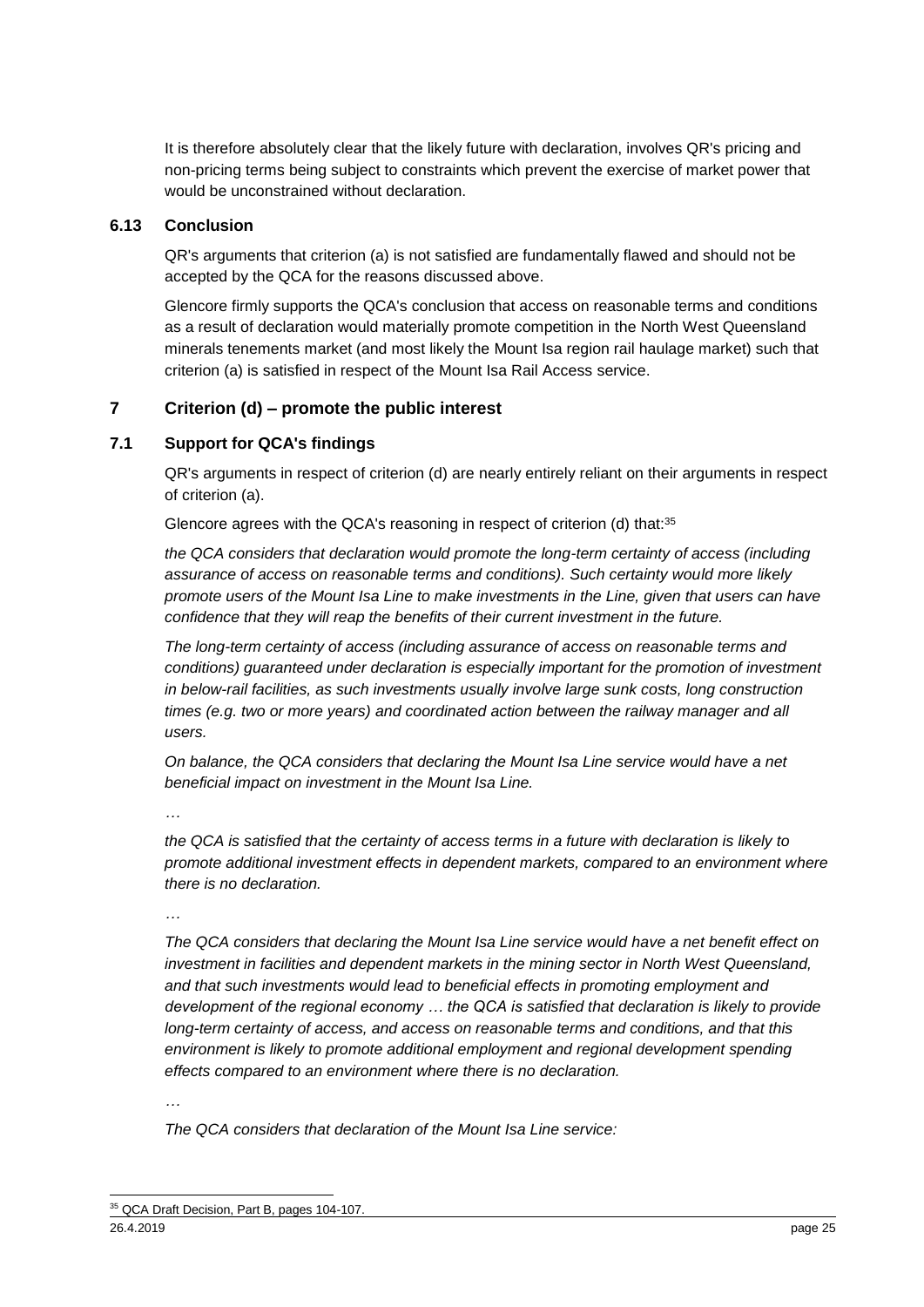It is therefore absolutely clear that the likely future with declaration, involves QR's pricing and non-pricing terms being subject to constraints which prevent the exercise of market power that would be unconstrained without declaration.

#### **6.13 Conclusion**

QR's arguments that criterion (a) is not satisfied are fundamentally flawed and should not be accepted by the QCA for the reasons discussed above.

Glencore firmly supports the QCA's conclusion that access on reasonable terms and conditions as a result of declaration would materially promote competition in the North West Queensland minerals tenements market (and most likely the Mount Isa region rail haulage market) such that criterion (a) is satisfied in respect of the Mount Isa Rail Access service.

#### **7 Criterion (d) – promote the public interest**

#### **7.1 Support for QCA's findings**

QR's arguments in respect of criterion (d) are nearly entirely reliant on their arguments in respect of criterion (a).

Glencore agrees with the QCA's reasoning in respect of criterion (d) that:<sup>35</sup>

*the QCA considers that declaration would promote the long-term certainty of access (including assurance of access on reasonable terms and conditions). Such certainty would more likely promote users of the Mount Isa Line to make investments in the Line, given that users can have confidence that they will reap the benefits of their current investment in the future.*

*The long-term certainty of access (including assurance of access on reasonable terms and conditions) guaranteed under declaration is especially important for the promotion of investment in below-rail facilities, as such investments usually involve large sunk costs, long construction times (e.g. two or more years) and coordinated action between the railway manager and all users.*

*On balance, the QCA considers that declaring the Mount Isa Line service would have a net beneficial impact on investment in the Mount Isa Line.* 

*…*

*the QCA is satisfied that the certainty of access terms in a future with declaration is likely to promote additional investment effects in dependent markets, compared to an environment where there is no declaration.*

*…*

*The QCA considers that declaring the Mount Isa Line service would have a net benefit effect on investment in facilities and dependent markets in the mining sector in North West Queensland, and that such investments would lead to beneficial effects in promoting employment and development of the regional economy … the QCA is satisfied that declaration is likely to provide long-term certainty of access, and access on reasonable terms and conditions, and that this environment is likely to promote additional employment and regional development spending effects compared to an environment where there is no declaration.*

*…*

*The QCA considers that declaration of the Mount Isa Line service:*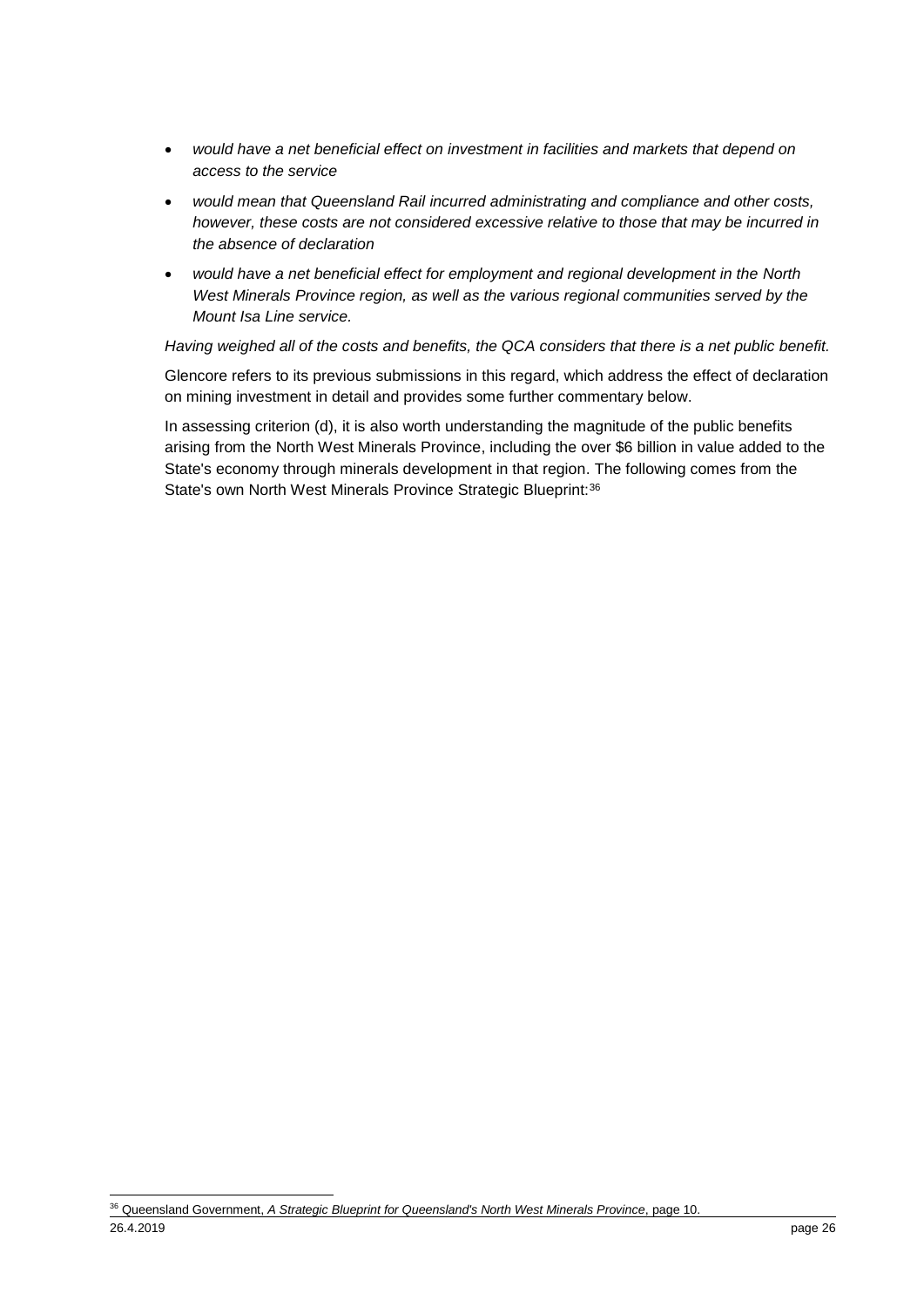- *would have a net beneficial effect on investment in facilities and markets that depend on access to the service*
- *would mean that Queensland Rail incurred administrating and compliance and other costs, however, these costs are not considered excessive relative to those that may be incurred in the absence of declaration*
- *would have a net beneficial effect for employment and regional development in the North West Minerals Province region, as well as the various regional communities served by the Mount Isa Line service.*

*Having weighed all of the costs and benefits, the QCA considers that there is a net public benefit.*

Glencore refers to its previous submissions in this regard, which address the effect of declaration on mining investment in detail and provides some further commentary below.

In assessing criterion (d), it is also worth understanding the magnitude of the public benefits arising from the North West Minerals Province, including the over \$6 billion in value added to the State's economy through minerals development in that region. The following comes from the State's own North West Minerals Province Strategic Blueprint: 36

<sup>26.4.2019</sup> page 26 -<sup>36</sup> Queensland Government, *A Strategic Blueprint for Queensland's North West Minerals Province*, page 10.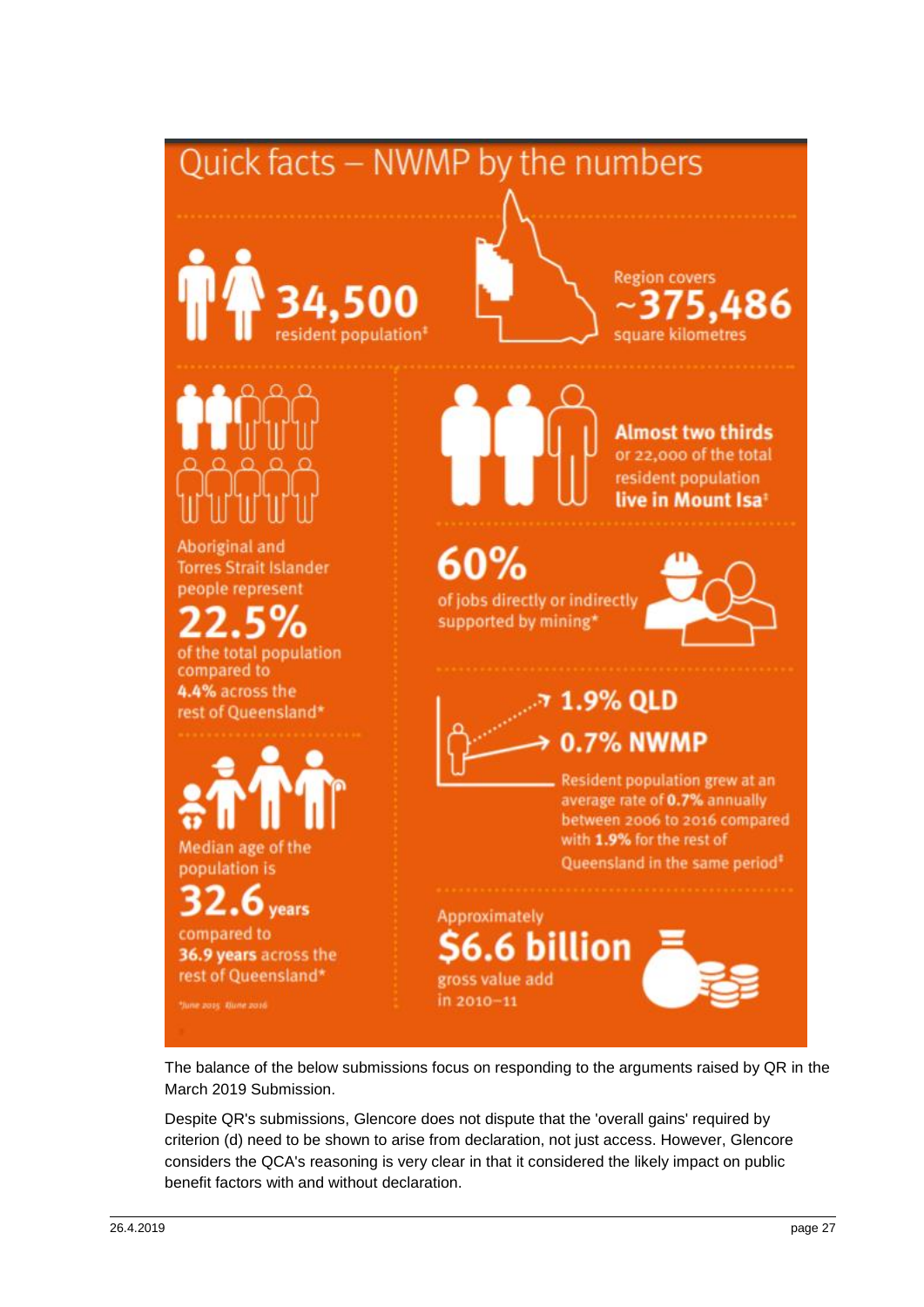## Quick facts - NWMP by the numbers







**Almost two thirds** or 22,000 of the total resident population live in Mount Isa<sup>®</sup>

Aboriginal and **Torres Strait Islander** people represent

of the total population compared to 4.4% across the rest of Queensland\*



Median age of the population is

#### ears compared to

36.9 years across the rest of Queensland\*

"June 2015 Dune 2016



## $60%$

of jobs directly or indirectly supported by mining\*



### 1.9% QLD **0.7% NWMP**

Resident population grew at an average rate of 0.7% annually between 2006 to 2016 compared with 1.9% for the rest of Queensland in the same period<sup>#</sup>

**Approximately** billion gross value add in 2010-11

The balance of the below submissions focus on responding to the arguments raised by QR in the March 2019 Submission.

Despite QR's submissions, Glencore does not dispute that the 'overall gains' required by criterion (d) need to be shown to arise from declaration, not just access. However, Glencore considers the QCA's reasoning is very clear in that it considered the likely impact on public benefit factors with and without declaration.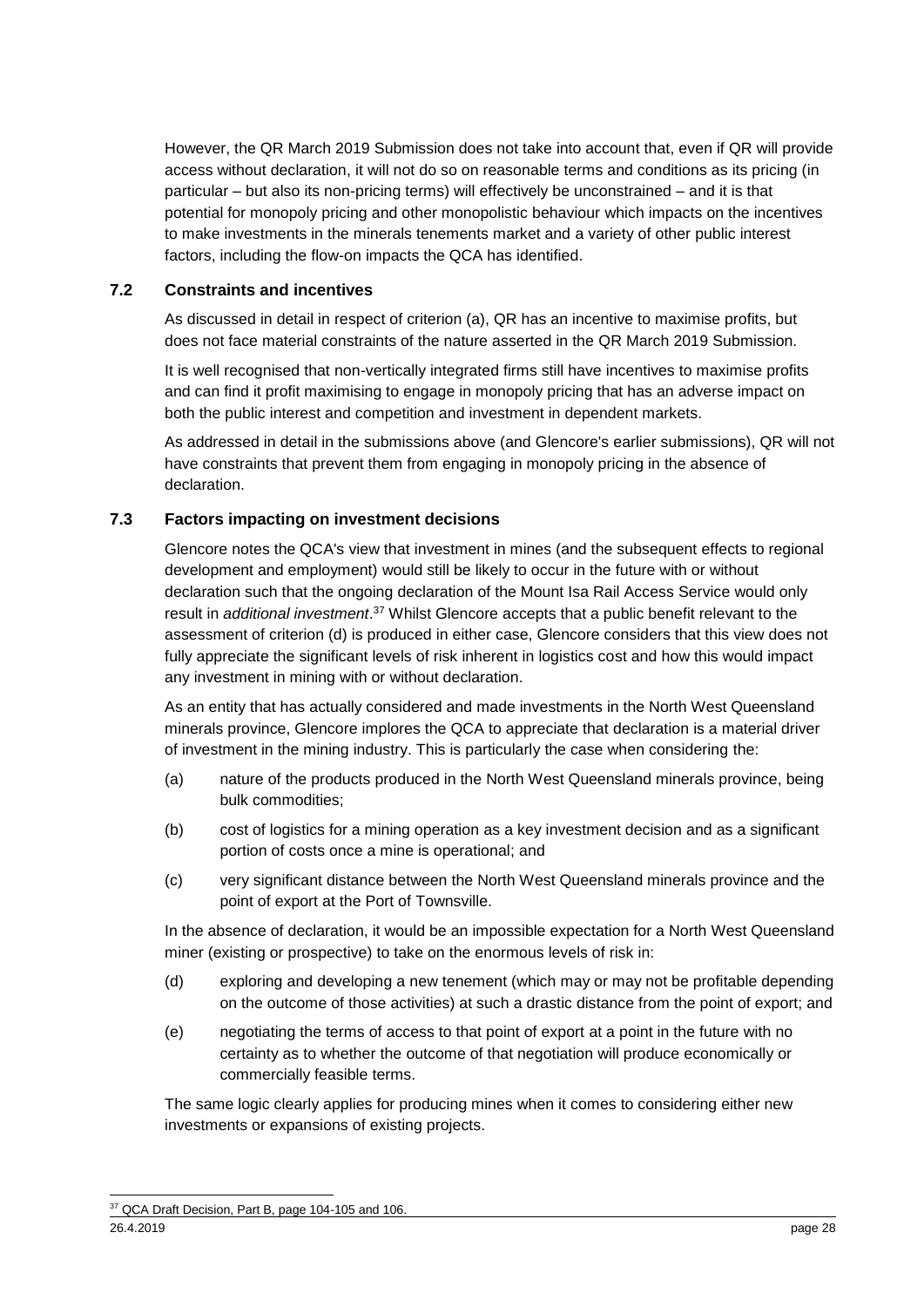However, the QR March 2019 Submission does not take into account that, even if QR will provide access without declaration, it will not do so on reasonable terms and conditions as its pricing (in particular – but also its non-pricing terms) will effectively be unconstrained – and it is that potential for monopoly pricing and other monopolistic behaviour which impacts on the incentives to make investments in the minerals tenements market and a variety of other public interest factors, including the flow-on impacts the QCA has identified.

#### **7.2 Constraints and incentives**

As discussed in detail in respect of criterion (a), QR has an incentive to maximise profits, but does not face material constraints of the nature asserted in the QR March 2019 Submission.

It is well recognised that non-vertically integrated firms still have incentives to maximise profits and can find it profit maximising to engage in monopoly pricing that has an adverse impact on both the public interest and competition and investment in dependent markets.

As addressed in detail in the submissions above (and Glencore's earlier submissions), QR will not have constraints that prevent them from engaging in monopoly pricing in the absence of declaration.

#### **7.3 Factors impacting on investment decisions**

Glencore notes the QCA's view that investment in mines (and the subsequent effects to regional development and employment) would still be likely to occur in the future with or without declaration such that the ongoing declaration of the Mount Isa Rail Access Service would only result in *additional investment*. <sup>37</sup> Whilst Glencore accepts that a public benefit relevant to the assessment of criterion (d) is produced in either case, Glencore considers that this view does not fully appreciate the significant levels of risk inherent in logistics cost and how this would impact any investment in mining with or without declaration.

As an entity that has actually considered and made investments in the North West Queensland minerals province, Glencore implores the QCA to appreciate that declaration is a material driver of investment in the mining industry. This is particularly the case when considering the:

- (a) nature of the products produced in the North West Queensland minerals province, being bulk commodities;
- (b) cost of logistics for a mining operation as a key investment decision and as a significant portion of costs once a mine is operational; and
- (c) very significant distance between the North West Queensland minerals province and the point of export at the Port of Townsville.

In the absence of declaration, it would be an impossible expectation for a North West Queensland miner (existing or prospective) to take on the enormous levels of risk in:

- (d) exploring and developing a new tenement (which may or may not be profitable depending on the outcome of those activities) at such a drastic distance from the point of export; and
- (e) negotiating the terms of access to that point of export at a point in the future with no certainty as to whether the outcome of that negotiation will produce economically or commercially feasible terms.

The same logic clearly applies for producing mines when it comes to considering either new investments or expansions of existing projects.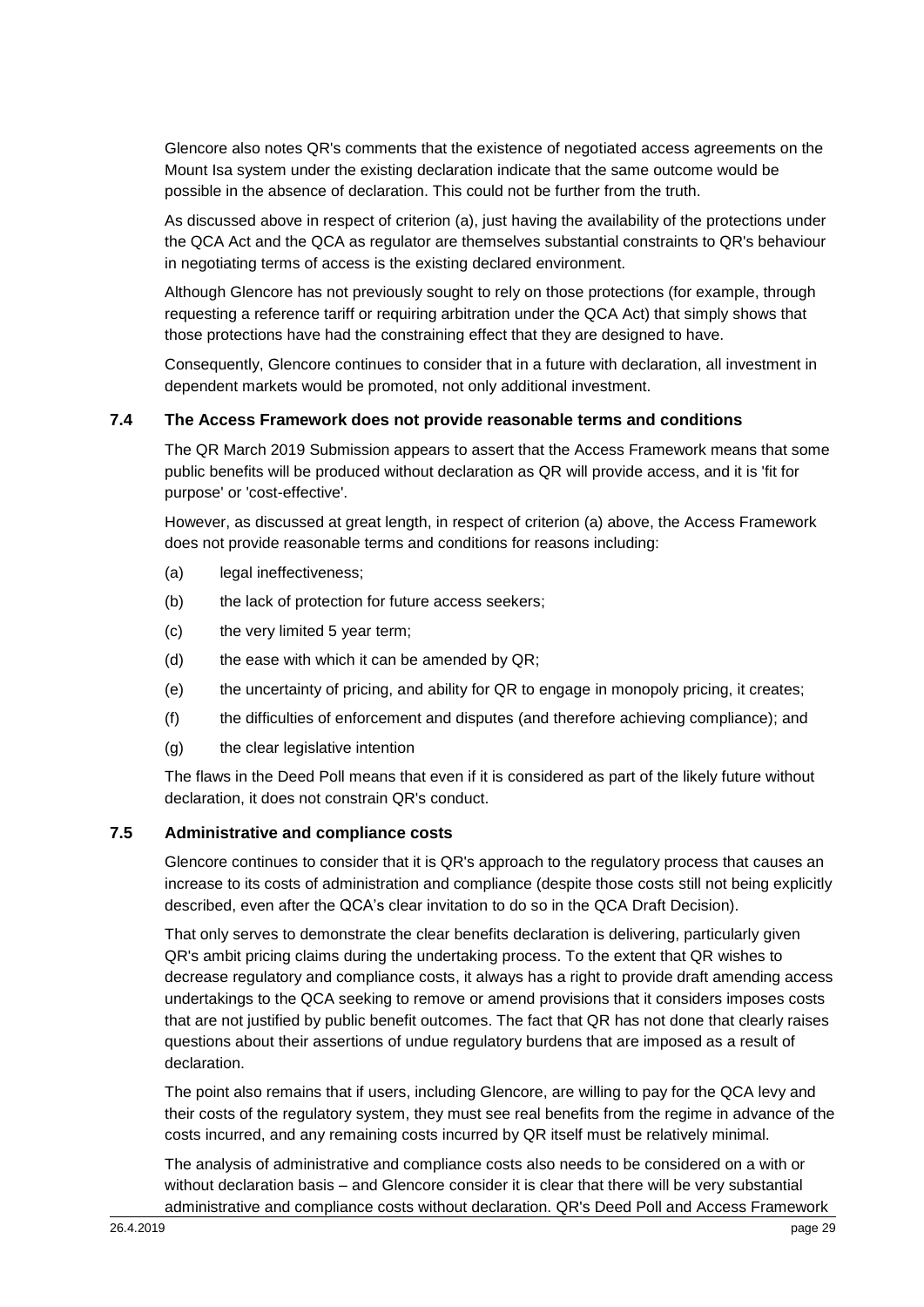Glencore also notes QR's comments that the existence of negotiated access agreements on the Mount Isa system under the existing declaration indicate that the same outcome would be possible in the absence of declaration. This could not be further from the truth.

As discussed above in respect of criterion (a), just having the availability of the protections under the QCA Act and the QCA as regulator are themselves substantial constraints to QR's behaviour in negotiating terms of access is the existing declared environment.

Although Glencore has not previously sought to rely on those protections (for example, through requesting a reference tariff or requiring arbitration under the QCA Act) that simply shows that those protections have had the constraining effect that they are designed to have.

Consequently, Glencore continues to consider that in a future with declaration, all investment in dependent markets would be promoted, not only additional investment.

#### **7.4 The Access Framework does not provide reasonable terms and conditions**

The QR March 2019 Submission appears to assert that the Access Framework means that some public benefits will be produced without declaration as QR will provide access, and it is 'fit for purpose' or 'cost-effective'.

However, as discussed at great length, in respect of criterion (a) above, the Access Framework does not provide reasonable terms and conditions for reasons including:

- (a) legal ineffectiveness;
- (b) the lack of protection for future access seekers;
- (c) the very limited 5 year term;
- (d) the ease with which it can be amended by  $QR$ ;
- (e) the uncertainty of pricing, and ability for QR to engage in monopoly pricing, it creates;
- (f) the difficulties of enforcement and disputes (and therefore achieving compliance); and
- (g) the clear legislative intention

The flaws in the Deed Poll means that even if it is considered as part of the likely future without declaration, it does not constrain QR's conduct.

#### **7.5 Administrative and compliance costs**

Glencore continues to consider that it is QR's approach to the regulatory process that causes an increase to its costs of administration and compliance (despite those costs still not being explicitly described, even after the QCA's clear invitation to do so in the QCA Draft Decision).

That only serves to demonstrate the clear benefits declaration is delivering, particularly given QR's ambit pricing claims during the undertaking process. To the extent that QR wishes to decrease regulatory and compliance costs, it always has a right to provide draft amending access undertakings to the QCA seeking to remove or amend provisions that it considers imposes costs that are not justified by public benefit outcomes. The fact that QR has not done that clearly raises questions about their assertions of undue regulatory burdens that are imposed as a result of declaration.

The point also remains that if users, including Glencore, are willing to pay for the QCA levy and their costs of the regulatory system, they must see real benefits from the regime in advance of the costs incurred, and any remaining costs incurred by QR itself must be relatively minimal.

The analysis of administrative and compliance costs also needs to be considered on a with or without declaration basis – and Glencore consider it is clear that there will be very substantial administrative and compliance costs without declaration. QR's Deed Poll and Access Framework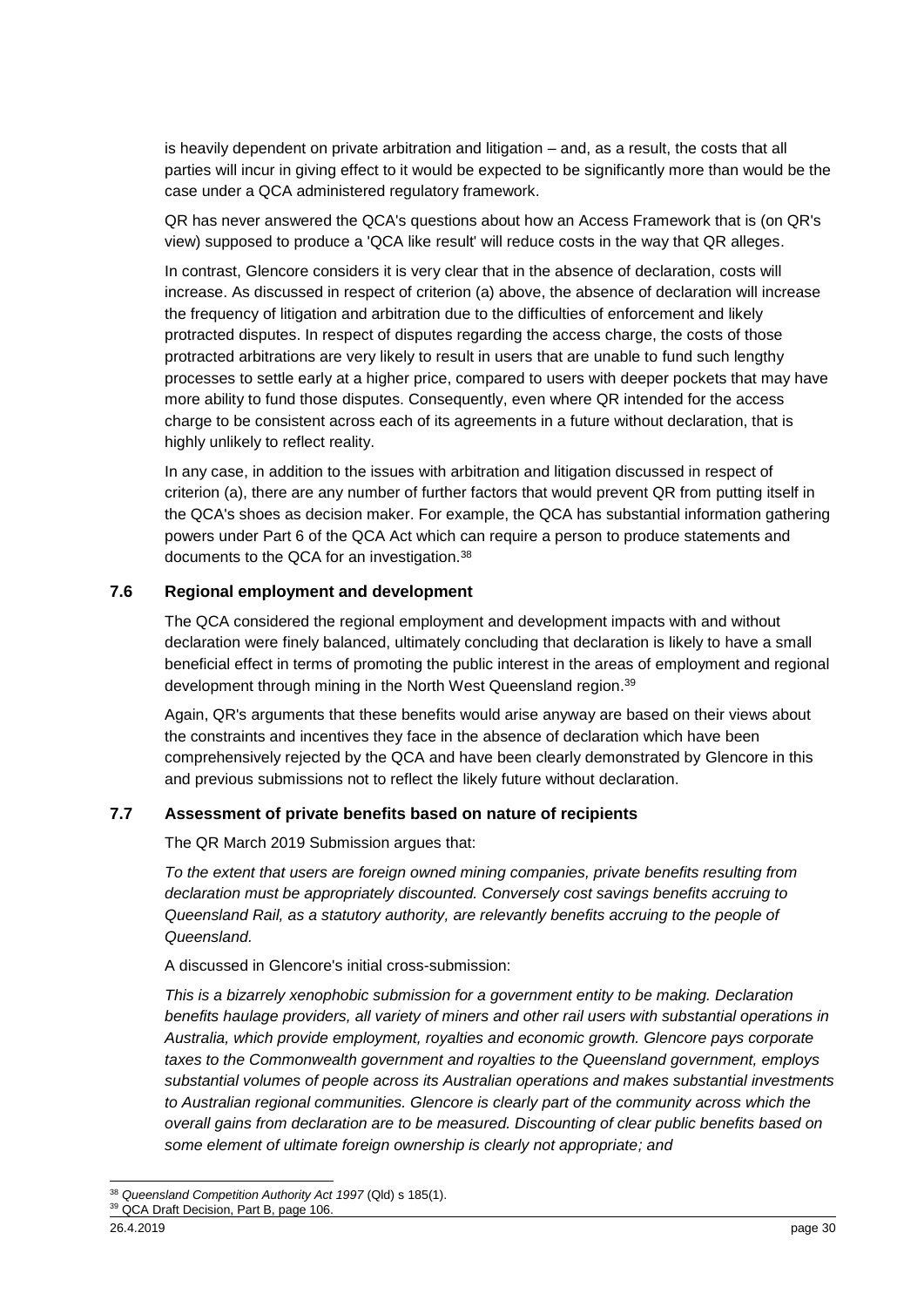is heavily dependent on private arbitration and litigation – and, as a result, the costs that all parties will incur in giving effect to it would be expected to be significantly more than would be the case under a QCA administered regulatory framework.

QR has never answered the QCA's questions about how an Access Framework that is (on QR's view) supposed to produce a 'QCA like result' will reduce costs in the way that QR alleges.

In contrast, Glencore considers it is very clear that in the absence of declaration, costs will increase. As discussed in respect of criterion (a) above, the absence of declaration will increase the frequency of litigation and arbitration due to the difficulties of enforcement and likely protracted disputes. In respect of disputes regarding the access charge, the costs of those protracted arbitrations are very likely to result in users that are unable to fund such lengthy processes to settle early at a higher price, compared to users with deeper pockets that may have more ability to fund those disputes. Consequently, even where QR intended for the access charge to be consistent across each of its agreements in a future without declaration, that is highly unlikely to reflect reality.

In any case, in addition to the issues with arbitration and litigation discussed in respect of criterion (a), there are any number of further factors that would prevent QR from putting itself in the QCA's shoes as decision maker. For example, the QCA has substantial information gathering powers under Part 6 of the QCA Act which can require a person to produce statements and documents to the QCA for an investigation.<sup>38</sup>

#### **7.6 Regional employment and development**

The QCA considered the regional employment and development impacts with and without declaration were finely balanced, ultimately concluding that declaration is likely to have a small beneficial effect in terms of promoting the public interest in the areas of employment and regional development through mining in the North West Queensland region.<sup>39</sup>

Again, QR's arguments that these benefits would arise anyway are based on their views about the constraints and incentives they face in the absence of declaration which have been comprehensively rejected by the QCA and have been clearly demonstrated by Glencore in this and previous submissions not to reflect the likely future without declaration.

#### **7.7 Assessment of private benefits based on nature of recipients**

The QR March 2019 Submission argues that:

*To the extent that users are foreign owned mining companies, private benefits resulting from declaration must be appropriately discounted. Conversely cost savings benefits accruing to Queensland Rail, as a statutory authority, are relevantly benefits accruing to the people of Queensland.*

A discussed in Glencore's initial cross-submission:

*This is a bizarrely xenophobic submission for a government entity to be making. Declaration benefits haulage providers, all variety of miners and other rail users with substantial operations in Australia, which provide employment, royalties and economic growth. Glencore pays corporate taxes to the Commonwealth government and royalties to the Queensland government, employs substantial volumes of people across its Australian operations and makes substantial investments to Australian regional communities. Glencore is clearly part of the community across which the overall gains from declaration are to be measured. Discounting of clear public benefits based on some element of ultimate foreign ownership is clearly not appropriate; and* 

<sup>-</sup><sup>38</sup> *Queensland Competition Authority Act 1997* (Qld) s 185(1).